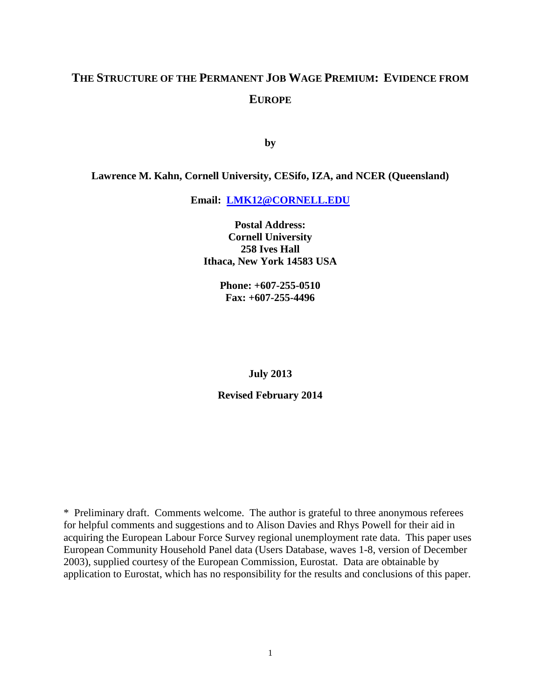# **THE STRUCTURE OF THE PERMANENT JOB WAGE PREMIUM: EVIDENCE FROM EUROPE**

**by**

## **Lawrence M. Kahn, Cornell University, CESifo, IZA, and NCER (Queensland)**

**Email: [LMK12@CORNELL.EDU](mailto:LMK12@CORNELL.EDU)**

**Postal Address: Cornell University 258 Ives Hall Ithaca, New York 14583 USA**

> **Phone: +607-255-0510 Fax: +607-255-4496**

> > **July 2013**

**Revised February 2014**

\* Preliminary draft. Comments welcome. The author is grateful to three anonymous referees for helpful comments and suggestions and to Alison Davies and Rhys Powell for their aid in acquiring the European Labour Force Survey regional unemployment rate data. This paper uses European Community Household Panel data (Users Database, waves 1-8, version of December 2003), supplied courtesy of the European Commission, Eurostat. Data are obtainable by application to Eurostat, which has no responsibility for the results and conclusions of this paper.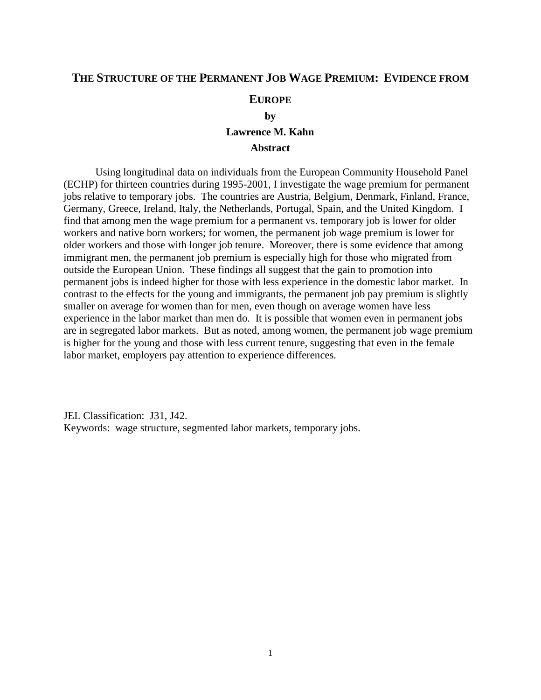## **THE STRUCTURE OF THE PERMANENT JOB WAGE PREMIUM: EVIDENCE FROM**

#### **EUROPE**

# **by Lawrence M. Kahn Abstract**

Using longitudinal data on individuals from the European Community Household Panel (ECHP) for thirteen countries during 1995-2001, I investigate the wage premium for permanent jobs relative to temporary jobs. The countries are Austria, Belgium, Denmark, Finland, France, Germany, Greece, Ireland, Italy, the Netherlands, Portugal, Spain, and the United Kingdom. I find that among men the wage premium for a permanent vs. temporary job is lower for older workers and native born workers; for women, the permanent job wage premium is lower for older workers and those with longer job tenure. Moreover, there is some evidence that among immigrant men, the permanent job premium is especially high for those who migrated from outside the European Union. These findings all suggest that the gain to promotion into permanent jobs is indeed higher for those with less experience in the domestic labor market. In contrast to the effects for the young and immigrants, the permanent job pay premium is slightly smaller on average for women than for men, even though on average women have less experience in the labor market than men do. It is possible that women even in permanent jobs are in segregated labor markets. But as noted, among women, the permanent job wage premium is higher for the young and those with less current tenure, suggesting that even in the female labor market, employers pay attention to experience differences.

JEL Classification: J31, J42. Keywords: wage structure, segmented labor markets, temporary jobs.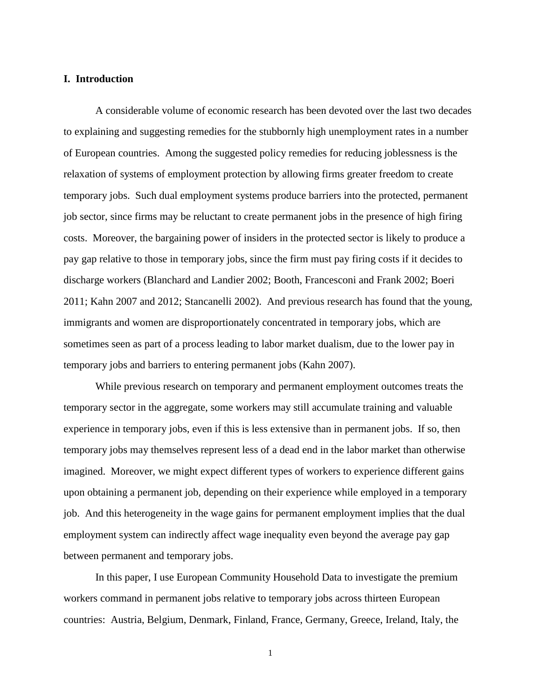## **I. Introduction**

A considerable volume of economic research has been devoted over the last two decades to explaining and suggesting remedies for the stubbornly high unemployment rates in a number of European countries. Among the suggested policy remedies for reducing joblessness is the relaxation of systems of employment protection by allowing firms greater freedom to create temporary jobs. Such dual employment systems produce barriers into the protected, permanent job sector, since firms may be reluctant to create permanent jobs in the presence of high firing costs. Moreover, the bargaining power of insiders in the protected sector is likely to produce a pay gap relative to those in temporary jobs, since the firm must pay firing costs if it decides to discharge workers (Blanchard and Landier 2002; Booth, Francesconi and Frank 2002; Boeri 2011; Kahn 2007 and 2012; Stancanelli 2002). And previous research has found that the young, immigrants and women are disproportionately concentrated in temporary jobs, which are sometimes seen as part of a process leading to labor market dualism, due to the lower pay in temporary jobs and barriers to entering permanent jobs (Kahn 2007).

While previous research on temporary and permanent employment outcomes treats the temporary sector in the aggregate, some workers may still accumulate training and valuable experience in temporary jobs, even if this is less extensive than in permanent jobs. If so, then temporary jobs may themselves represent less of a dead end in the labor market than otherwise imagined. Moreover, we might expect different types of workers to experience different gains upon obtaining a permanent job, depending on their experience while employed in a temporary job. And this heterogeneity in the wage gains for permanent employment implies that the dual employment system can indirectly affect wage inequality even beyond the average pay gap between permanent and temporary jobs.

In this paper, I use European Community Household Data to investigate the premium workers command in permanent jobs relative to temporary jobs across thirteen European countries: Austria, Belgium, Denmark, Finland, France, Germany, Greece, Ireland, Italy, the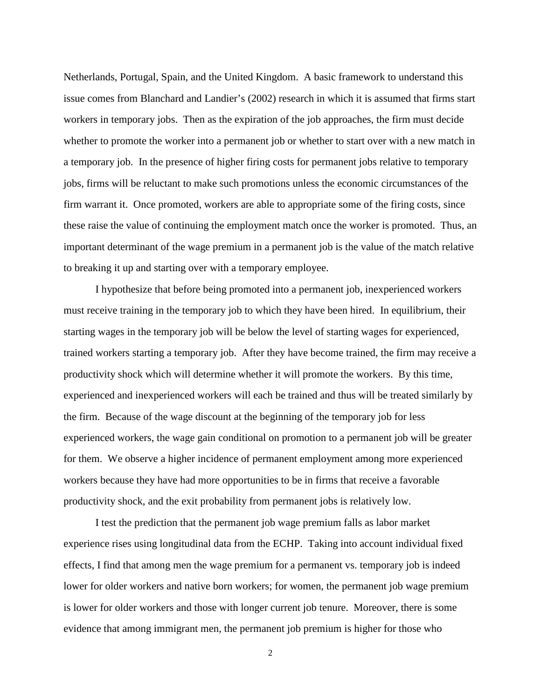Netherlands, Portugal, Spain, and the United Kingdom. A basic framework to understand this issue comes from Blanchard and Landier's (2002) research in which it is assumed that firms start workers in temporary jobs. Then as the expiration of the job approaches, the firm must decide whether to promote the worker into a permanent job or whether to start over with a new match in a temporary job. In the presence of higher firing costs for permanent jobs relative to temporary jobs, firms will be reluctant to make such promotions unless the economic circumstances of the firm warrant it. Once promoted, workers are able to appropriate some of the firing costs, since these raise the value of continuing the employment match once the worker is promoted. Thus, an important determinant of the wage premium in a permanent job is the value of the match relative to breaking it up and starting over with a temporary employee.

I hypothesize that before being promoted into a permanent job, inexperienced workers must receive training in the temporary job to which they have been hired. In equilibrium, their starting wages in the temporary job will be below the level of starting wages for experienced, trained workers starting a temporary job. After they have become trained, the firm may receive a productivity shock which will determine whether it will promote the workers. By this time, experienced and inexperienced workers will each be trained and thus will be treated similarly by the firm. Because of the wage discount at the beginning of the temporary job for less experienced workers, the wage gain conditional on promotion to a permanent job will be greater for them. We observe a higher incidence of permanent employment among more experienced workers because they have had more opportunities to be in firms that receive a favorable productivity shock, and the exit probability from permanent jobs is relatively low.

I test the prediction that the permanent job wage premium falls as labor market experience rises using longitudinal data from the ECHP. Taking into account individual fixed effects, I find that among men the wage premium for a permanent vs. temporary job is indeed lower for older workers and native born workers; for women, the permanent job wage premium is lower for older workers and those with longer current job tenure. Moreover, there is some evidence that among immigrant men, the permanent job premium is higher for those who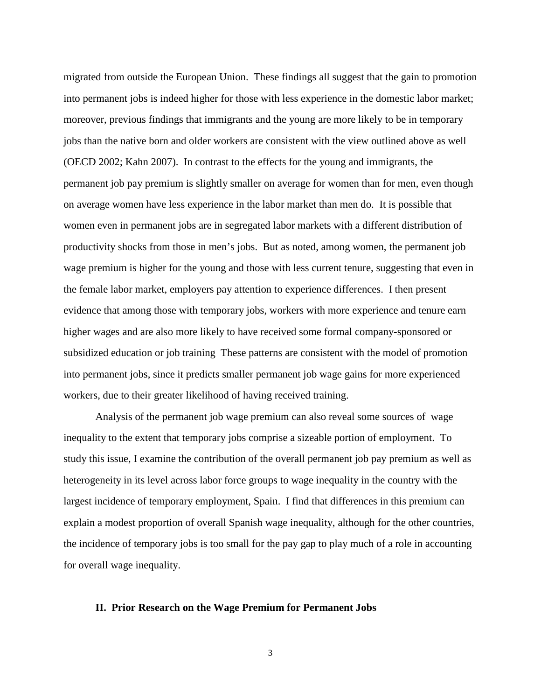migrated from outside the European Union. These findings all suggest that the gain to promotion into permanent jobs is indeed higher for those with less experience in the domestic labor market; moreover, previous findings that immigrants and the young are more likely to be in temporary jobs than the native born and older workers are consistent with the view outlined above as well (OECD 2002; Kahn 2007). In contrast to the effects for the young and immigrants, the permanent job pay premium is slightly smaller on average for women than for men, even though on average women have less experience in the labor market than men do. It is possible that women even in permanent jobs are in segregated labor markets with a different distribution of productivity shocks from those in men's jobs. But as noted, among women, the permanent job wage premium is higher for the young and those with less current tenure, suggesting that even in the female labor market, employers pay attention to experience differences. I then present evidence that among those with temporary jobs, workers with more experience and tenure earn higher wages and are also more likely to have received some formal company-sponsored or subsidized education or job training These patterns are consistent with the model of promotion into permanent jobs, since it predicts smaller permanent job wage gains for more experienced workers, due to their greater likelihood of having received training.

Analysis of the permanent job wage premium can also reveal some sources of wage inequality to the extent that temporary jobs comprise a sizeable portion of employment. To study this issue, I examine the contribution of the overall permanent job pay premium as well as heterogeneity in its level across labor force groups to wage inequality in the country with the largest incidence of temporary employment, Spain. I find that differences in this premium can explain a modest proportion of overall Spanish wage inequality, although for the other countries, the incidence of temporary jobs is too small for the pay gap to play much of a role in accounting for overall wage inequality.

## **II. Prior Research on the Wage Premium for Permanent Jobs**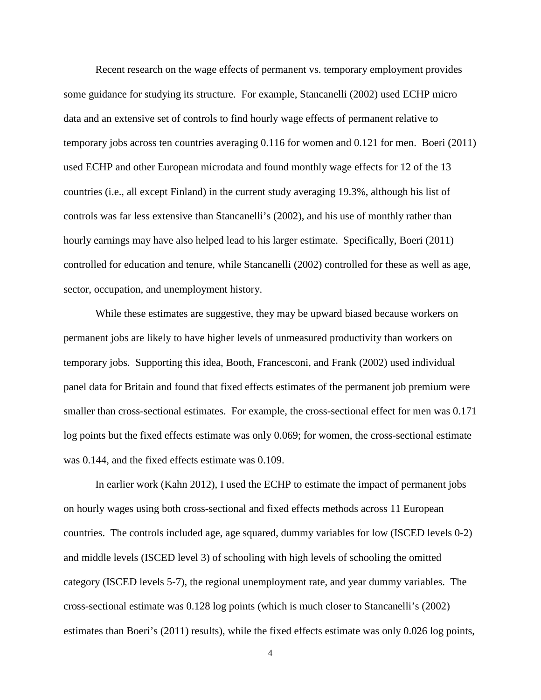Recent research on the wage effects of permanent vs. temporary employment provides some guidance for studying its structure. For example, Stancanelli (2002) used ECHP micro data and an extensive set of controls to find hourly wage effects of permanent relative to temporary jobs across ten countries averaging 0.116 for women and 0.121 for men. Boeri (2011) used ECHP and other European microdata and found monthly wage effects for 12 of the 13 countries (i.e., all except Finland) in the current study averaging 19.3%, although his list of controls was far less extensive than Stancanelli's (2002), and his use of monthly rather than hourly earnings may have also helped lead to his larger estimate. Specifically, Boeri (2011) controlled for education and tenure, while Stancanelli (2002) controlled for these as well as age, sector, occupation, and unemployment history.

While these estimates are suggestive, they may be upward biased because workers on permanent jobs are likely to have higher levels of unmeasured productivity than workers on temporary jobs. Supporting this idea, Booth, Francesconi, and Frank (2002) used individual panel data for Britain and found that fixed effects estimates of the permanent job premium were smaller than cross-sectional estimates. For example, the cross-sectional effect for men was 0.171 log points but the fixed effects estimate was only 0.069; for women, the cross-sectional estimate was 0.144, and the fixed effects estimate was 0.109.

In earlier work (Kahn 2012), I used the ECHP to estimate the impact of permanent jobs on hourly wages using both cross-sectional and fixed effects methods across 11 European countries. The controls included age, age squared, dummy variables for low (ISCED levels 0-2) and middle levels (ISCED level 3) of schooling with high levels of schooling the omitted category (ISCED levels 5-7), the regional unemployment rate, and year dummy variables. The cross-sectional estimate was 0.128 log points (which is much closer to Stancanelli's (2002) estimates than Boeri's (2011) results), while the fixed effects estimate was only 0.026 log points,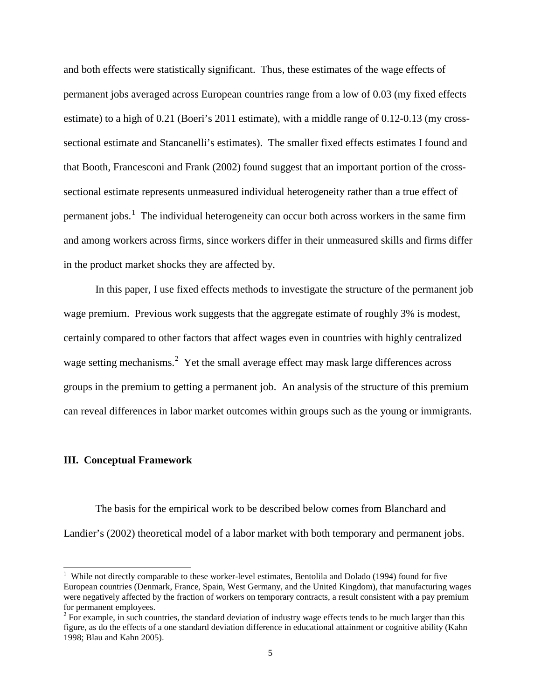and both effects were statistically significant. Thus, these estimates of the wage effects of permanent jobs averaged across European countries range from a low of 0.03 (my fixed effects estimate) to a high of 0.21 (Boeri's 2011 estimate), with a middle range of 0.12-0.13 (my crosssectional estimate and Stancanelli's estimates). The smaller fixed effects estimates I found and that Booth, Francesconi and Frank (2002) found suggest that an important portion of the crosssectional estimate represents unmeasured individual heterogeneity rather than a true effect of permanent jobs.<sup>[1](#page-6-0)</sup> The individual heterogeneity can occur both across workers in the same firm and among workers across firms, since workers differ in their unmeasured skills and firms differ in the product market shocks they are affected by.

In this paper, I use fixed effects methods to investigate the structure of the permanent job wage premium. Previous work suggests that the aggregate estimate of roughly 3% is modest, certainly compared to other factors that affect wages even in countries with highly centralized wage setting mechanisms.<sup>[2](#page-6-1)</sup> Yet the small average effect may mask large differences across groups in the premium to getting a permanent job. An analysis of the structure of this premium can reveal differences in labor market outcomes within groups such as the young or immigrants.

#### **III. Conceptual Framework**

 $\overline{a}$ 

The basis for the empirical work to be described below comes from Blanchard and Landier's (2002) theoretical model of a labor market with both temporary and permanent jobs.

<span id="page-6-0"></span><sup>&</sup>lt;sup>1</sup> While not directly comparable to these worker-level estimates, Bentolila and Dolado (1994) found for five European countries (Denmark, France, Spain, West Germany, and the United Kingdom), that manufacturing wages were negatively affected by the fraction of workers on temporary contracts, a result consistent with a pay premium for permanent employees.

<span id="page-6-1"></span> $<sup>2</sup>$  For example, in such countries, the standard deviation of industry wage effects tends to be much larger than this</sup> figure, as do the effects of a one standard deviation difference in educational attainment or cognitive ability (Kahn 1998; Blau and Kahn 2005).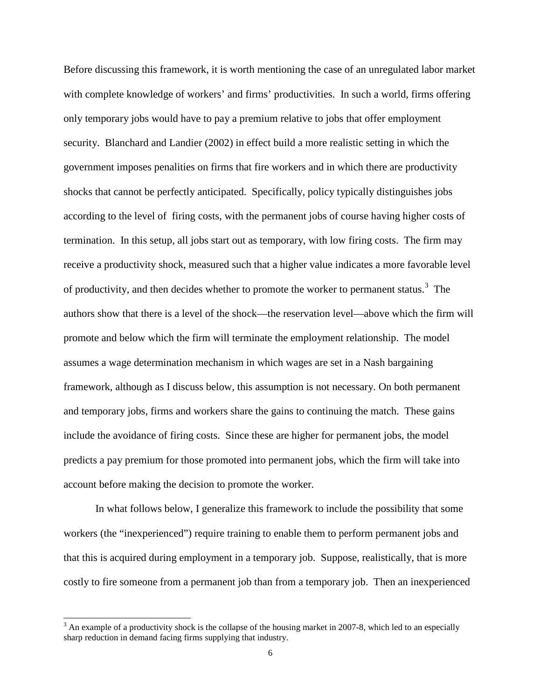Before discussing this framework, it is worth mentioning the case of an unregulated labor market with complete knowledge of workers' and firms' productivities. In such a world, firms offering only temporary jobs would have to pay a premium relative to jobs that offer employment security. Blanchard and Landier (2002) in effect build a more realistic setting in which the government imposes penalities on firms that fire workers and in which there are productivity shocks that cannot be perfectly anticipated. Specifically, policy typically distinguishes jobs according to the level of firing costs, with the permanent jobs of course having higher costs of termination. In this setup, all jobs start out as temporary, with low firing costs. The firm may receive a productivity shock, measured such that a higher value indicates a more favorable level of productivity, and then decides whether to promote the worker to permanent status.<sup>[3](#page-7-0)</sup> The authors show that there is a level of the shock—the reservation level—above which the firm will promote and below which the firm will terminate the employment relationship. The model assumes a wage determination mechanism in which wages are set in a Nash bargaining framework, although as I discuss below, this assumption is not necessary. On both permanent and temporary jobs, firms and workers share the gains to continuing the match. These gains include the avoidance of firing costs. Since these are higher for permanent jobs, the model predicts a pay premium for those promoted into permanent jobs, which the firm will take into account before making the decision to promote the worker.

In what follows below, I generalize this framework to include the possibility that some workers (the "inexperienced") require training to enable them to perform permanent jobs and that this is acquired during employment in a temporary job. Suppose, realistically, that is more costly to fire someone from a permanent job than from a temporary job. Then an inexperienced

<span id="page-7-0"></span> $3$  An example of a productivity shock is the collapse of the housing market in 2007-8, which led to an especially sharp reduction in demand facing firms supplying that industry.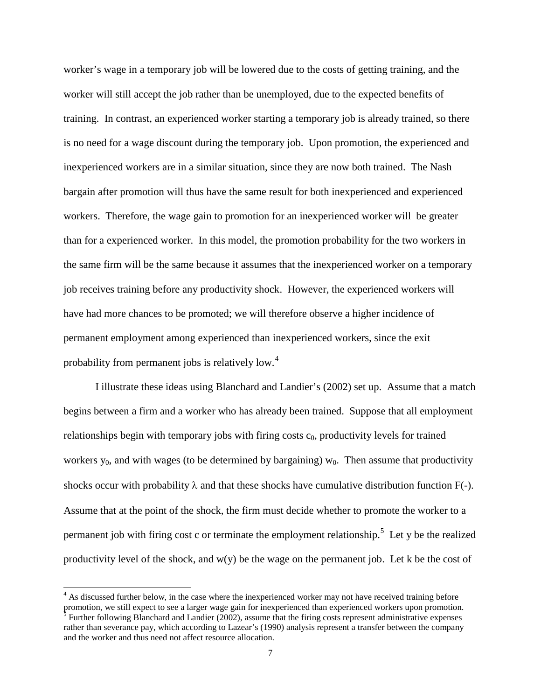worker's wage in a temporary job will be lowered due to the costs of getting training, and the worker will still accept the job rather than be unemployed, due to the expected benefits of training. In contrast, an experienced worker starting a temporary job is already trained, so there is no need for a wage discount during the temporary job. Upon promotion, the experienced and inexperienced workers are in a similar situation, since they are now both trained. The Nash bargain after promotion will thus have the same result for both inexperienced and experienced workers. Therefore, the wage gain to promotion for an inexperienced worker will be greater than for a experienced worker. In this model, the promotion probability for the two workers in the same firm will be the same because it assumes that the inexperienced worker on a temporary job receives training before any productivity shock. However, the experienced workers will have had more chances to be promoted; we will therefore observe a higher incidence of permanent employment among experienced than inexperienced workers, since the exit probability from permanent jobs is relatively low.[4](#page-8-0)

I illustrate these ideas using Blanchard and Landier's (2002) set up. Assume that a match begins between a firm and a worker who has already been trained. Suppose that all employment relationships begin with temporary jobs with firing costs  $c_0$ , productivity levels for trained workers  $y_0$ , and with wages (to be determined by bargaining) w<sub>0</sub>. Then assume that productivity shocks occur with probability  $\lambda$  and that these shocks have cumulative distribution function  $F(-)$ . Assume that at the point of the shock, the firm must decide whether to promote the worker to a permanent job with firing cost c or terminate the employment relationship.<sup>[5](#page-8-1)</sup> Let y be the realized productivity level of the shock, and  $w(y)$  be the wage on the permanent job. Let k be the cost of

<span id="page-8-0"></span> $4$  As discussed further below, in the case where the inexperienced worker may not have received training before promotion, we still expect to see a larger wage gain for inexperienced than experienced workers upon promotion.

<span id="page-8-1"></span> $<sup>5</sup>$  Further following Blanchard and Landier (2002), assume that the firing costs represent administrative expenses</sup> rather than severance pay, which according to Lazear's (1990) analysis represent a transfer between the company and the worker and thus need not affect resource allocation.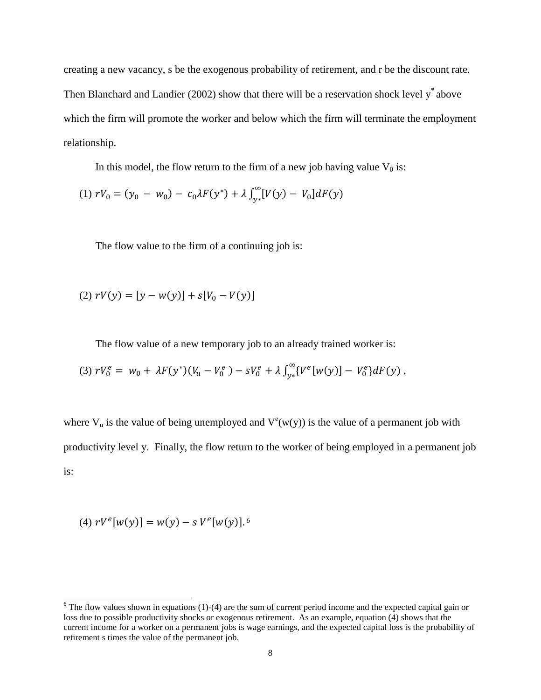creating a new vacancy, s be the exogenous probability of retirement, and r be the discount rate. Then Blanchard and Landier (2002) show that there will be a reservation shock level  $y^*$  above which the firm will promote the worker and below which the firm will terminate the employment relationship.

In this model, the flow return to the firm of a new job having value  $V_0$  is:

(1)  $rV_0 = (y_0 - w_0) - c_0 \lambda F(y^*) + \lambda \int_{y^*}^{\infty} [V(y) - V_0] dF(y)$ 

The flow value to the firm of a continuing job is:

(2)  $rV(y) = [y - w(y)] + s[V_0 - V(y)]$ 

The flow value of a new temporary job to an already trained worker is:

(3) 
$$
rV_0^e = w_0 + \lambda F(y^*)(V_u - V_0^e) - sV_0^e + \lambda \int_{y^*}^{\infty} \{V^e[w(y)] - V_0^e\} dF(y),
$$

where  $V_u$  is the value of being unemployed and  $V^e(w(y))$  is the value of a permanent job with productivity level y. Finally, the flow return to the worker of being employed in a permanent job is:

(4)  $rV^{e}[w(v)] = w(v) - s V^{e}[w(v)].$ <sup>6</sup>

 $6$  The flow values shown in equations (1)-(4) are the sum of current period income and the expected capital gain or loss due to possible productivity shocks or exogenous retirement. As an example, equation (4) shows that the current income for a worker on a permanent jobs is wage earnings, and the expected capital loss is the probability of retirement s times the value of the permanent job.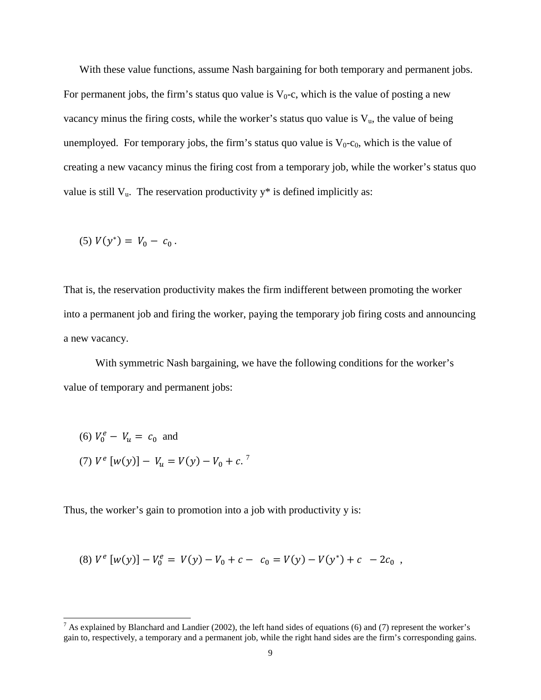With these value functions, assume Nash bargaining for both temporary and permanent jobs. For permanent jobs, the firm's status quo value is  $V_0$ -c, which is the value of posting a new vacancy minus the firing costs, while the worker's status quo value is  $V_u$ , the value of being unemployed. For temporary jobs, the firm's status quo value is  $V_0$ -c<sub>0</sub>, which is the value of creating a new vacancy minus the firing cost from a temporary job, while the worker's status quo value is still  $V_{\mu}$ . The reservation productivity  $y^*$  is defined implicitly as:

$$
(5) V(y^*) = V_0 - c_0.
$$

That is, the reservation productivity makes the firm indifferent between promoting the worker into a permanent job and firing the worker, paying the temporary job firing costs and announcing a new vacancy.

With symmetric Nash bargaining, we have the following conditions for the worker's value of temporary and permanent jobs:

(6) 
$$
V_0^e - V_u = c_0
$$
 and  
(7)  $V^e [w(y)] - V_u = V(y) - V_0 + c.$ <sup>7</sup>

 $\overline{a}$ 

Thus, the worker's gain to promotion into a job with productivity y is:

(8) 
$$
V^e [w(y)] - V_0^e = V(y) - V_0 + c - c_0 = V(y) - V(y^*) + c - 2c_0
$$
,

<span id="page-10-0"></span><sup>&</sup>lt;sup>7</sup> As explained by Blanchard and Landier (2002), the left hand sides of equations (6) and (7) represent the worker's gain to, respectively, a temporary and a permanent job, while the right hand sides are the firm's corresponding gains.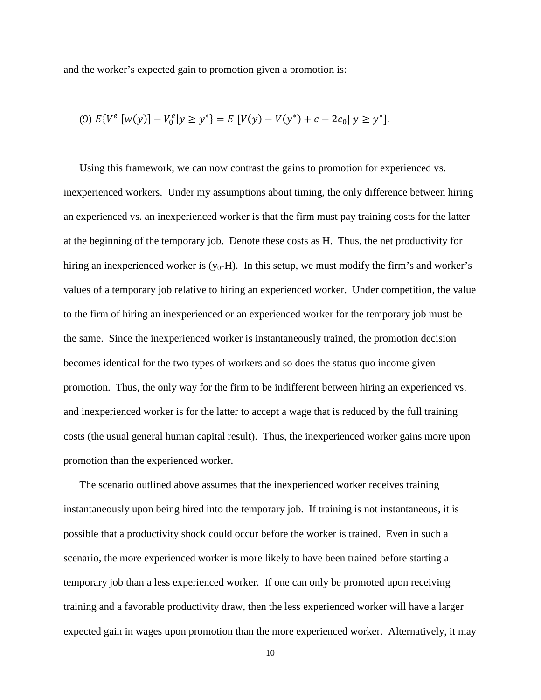and the worker's expected gain to promotion given a promotion is:

$$
(9) E\{V^e \left[ w(y) \right] - V_0^e | y \ge y^* \} = E\left[ V(y) - V(y^*) + c - 2c_0 | y \ge y^* \right].
$$

Using this framework, we can now contrast the gains to promotion for experienced vs. inexperienced workers. Under my assumptions about timing, the only difference between hiring an experienced vs. an inexperienced worker is that the firm must pay training costs for the latter at the beginning of the temporary job. Denote these costs as H. Thus, the net productivity for hiring an inexperienced worker is  $(y_0-H)$ . In this setup, we must modify the firm's and worker's values of a temporary job relative to hiring an experienced worker. Under competition, the value to the firm of hiring an inexperienced or an experienced worker for the temporary job must be the same. Since the inexperienced worker is instantaneously trained, the promotion decision becomes identical for the two types of workers and so does the status quo income given promotion. Thus, the only way for the firm to be indifferent between hiring an experienced vs. and inexperienced worker is for the latter to accept a wage that is reduced by the full training costs (the usual general human capital result). Thus, the inexperienced worker gains more upon promotion than the experienced worker.

The scenario outlined above assumes that the inexperienced worker receives training instantaneously upon being hired into the temporary job. If training is not instantaneous, it is possible that a productivity shock could occur before the worker is trained. Even in such a scenario, the more experienced worker is more likely to have been trained before starting a temporary job than a less experienced worker. If one can only be promoted upon receiving training and a favorable productivity draw, then the less experienced worker will have a larger expected gain in wages upon promotion than the more experienced worker. Alternatively, it may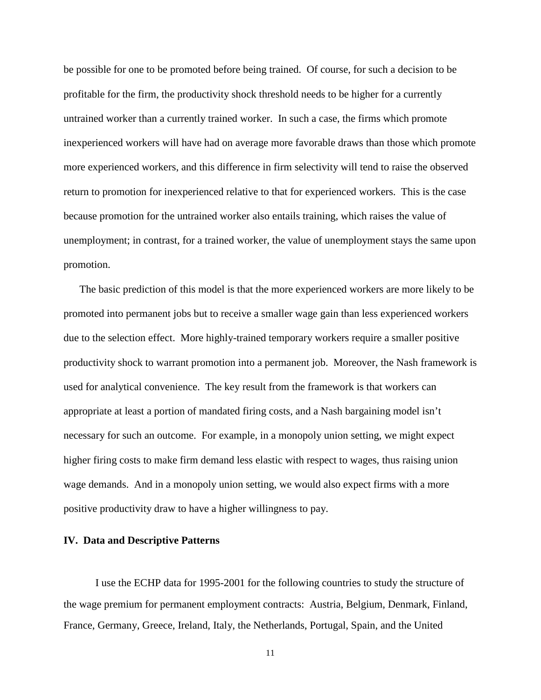be possible for one to be promoted before being trained. Of course, for such a decision to be profitable for the firm, the productivity shock threshold needs to be higher for a currently untrained worker than a currently trained worker. In such a case, the firms which promote inexperienced workers will have had on average more favorable draws than those which promote more experienced workers, and this difference in firm selectivity will tend to raise the observed return to promotion for inexperienced relative to that for experienced workers. This is the case because promotion for the untrained worker also entails training, which raises the value of unemployment; in contrast, for a trained worker, the value of unemployment stays the same upon promotion.

The basic prediction of this model is that the more experienced workers are more likely to be promoted into permanent jobs but to receive a smaller wage gain than less experienced workers due to the selection effect. More highly-trained temporary workers require a smaller positive productivity shock to warrant promotion into a permanent job. Moreover, the Nash framework is used for analytical convenience. The key result from the framework is that workers can appropriate at least a portion of mandated firing costs, and a Nash bargaining model isn't necessary for such an outcome. For example, in a monopoly union setting, we might expect higher firing costs to make firm demand less elastic with respect to wages, thus raising union wage demands. And in a monopoly union setting, we would also expect firms with a more positive productivity draw to have a higher willingness to pay.

## **IV. Data and Descriptive Patterns**

I use the ECHP data for 1995-2001 for the following countries to study the structure of the wage premium for permanent employment contracts: Austria, Belgium, Denmark, Finland, France, Germany, Greece, Ireland, Italy, the Netherlands, Portugal, Spain, and the United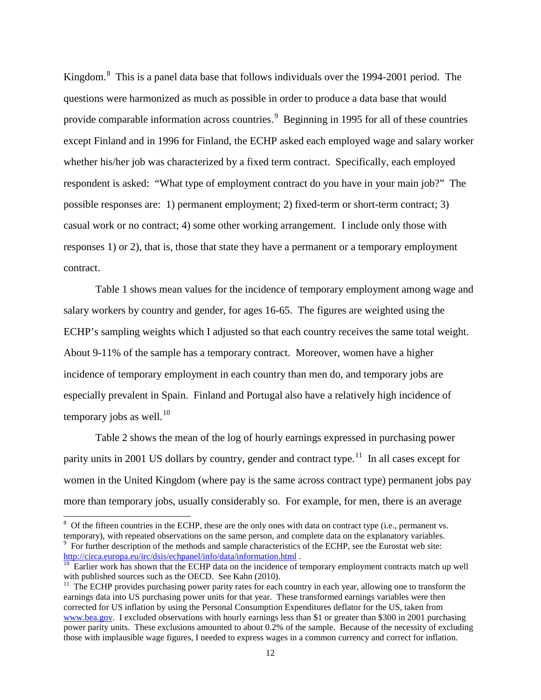Kingdom.<sup>[8](#page-13-0)</sup> This is a panel data base that follows individuals over the 1994-2001 period. The questions were harmonized as much as possible in order to produce a data base that would provide comparable information across countries.<sup>[9](#page-13-1)</sup> Beginning in 1995 for all of these countries except Finland and in 1996 for Finland, the ECHP asked each employed wage and salary worker whether his/her job was characterized by a fixed term contract. Specifically, each employed respondent is asked: "What type of employment contract do you have in your main job?" The possible responses are: 1) permanent employment; 2) fixed-term or short-term contract; 3) casual work or no contract; 4) some other working arrangement. I include only those with responses 1) or 2), that is, those that state they have a permanent or a temporary employment contract.

Table 1 shows mean values for the incidence of temporary employment among wage and salary workers by country and gender, for ages 16-65. The figures are weighted using the ECHP's sampling weights which I adjusted so that each country receives the same total weight. About 9-11% of the sample has a temporary contract. Moreover, women have a higher incidence of temporary employment in each country than men do, and temporary jobs are especially prevalent in Spain. Finland and Portugal also have a relatively high incidence of temporary jobs as well. $^{10}$ 

Table 2 shows the mean of the log of hourly earnings expressed in purchasing power parity units in 2001 US dollars by country, gender and contract type.<sup>[11](#page-13-3)</sup> In all cases except for women in the United Kingdom (where pay is the same across contract type) permanent jobs pay more than temporary jobs, usually considerably so. For example, for men, there is an average

<span id="page-13-0"></span> $8\,$  Of the fifteen countries in the ECHP, these are the only ones with data on contract type (i.e., permanent vs. temporary), with repeated observations on the same person, and complete data on the explanatory variables. <sup>9</sup> <sup>9</sup> For further description of the methods and sample characteristics of the ECHP, see the Eurostat web site:

<span id="page-13-2"></span><span id="page-13-1"></span><http://circa.europa.eu/irc/dsis/echpanel/info/data/information.html> .<br><sup>10</sup> Earlier work has shown that the ECHP data on the incidence of temporary employment contracts match up well with published sources such as the OECD. See Kahn (2010).

<span id="page-13-3"></span> $11$  The ECHP provides purchasing power parity rates for each country in each year, allowing one to transform the earnings data into US purchasing power units for that year. These transformed earnings variables were then corrected for US inflation by using the Personal Consumption Expenditures deflator for the US, taken from [www.bea.gov.](http://www.bea.gov/) I excluded observations with hourly earnings less than \$1 or greater than \$300 in 2001 purchasing power parity units. These exclusions amounted to about 0.2% of the sample. Because of the necessity of excluding those with implausible wage figures, I needed to express wages in a common currency and correct for inflation.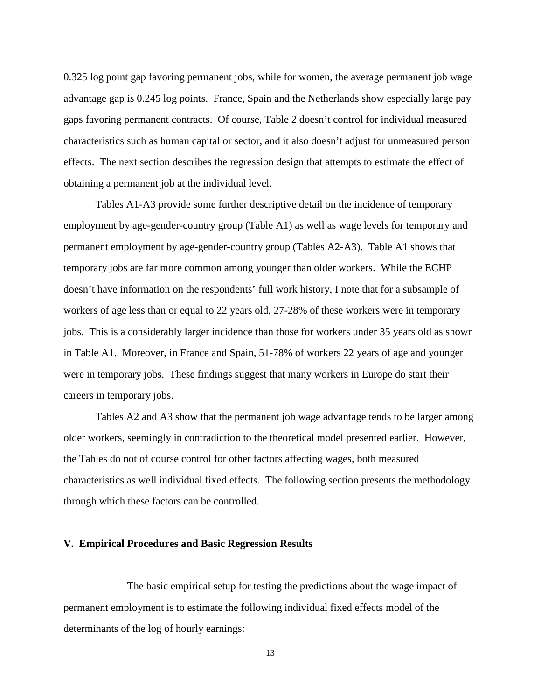0.325 log point gap favoring permanent jobs, while for women, the average permanent job wage advantage gap is 0.245 log points. France, Spain and the Netherlands show especially large pay gaps favoring permanent contracts. Of course, Table 2 doesn't control for individual measured characteristics such as human capital or sector, and it also doesn't adjust for unmeasured person effects. The next section describes the regression design that attempts to estimate the effect of obtaining a permanent job at the individual level.

Tables A1-A3 provide some further descriptive detail on the incidence of temporary employment by age-gender-country group (Table A1) as well as wage levels for temporary and permanent employment by age-gender-country group (Tables A2-A3). Table A1 shows that temporary jobs are far more common among younger than older workers. While the ECHP doesn't have information on the respondents' full work history, I note that for a subsample of workers of age less than or equal to 22 years old, 27-28% of these workers were in temporary jobs. This is a considerably larger incidence than those for workers under 35 years old as shown in Table A1. Moreover, in France and Spain, 51-78% of workers 22 years of age and younger were in temporary jobs. These findings suggest that many workers in Europe do start their careers in temporary jobs.

Tables A2 and A3 show that the permanent job wage advantage tends to be larger among older workers, seemingly in contradiction to the theoretical model presented earlier. However, the Tables do not of course control for other factors affecting wages, both measured characteristics as well individual fixed effects. The following section presents the methodology through which these factors can be controlled.

#### **V. Empirical Procedures and Basic Regression Results**

The basic empirical setup for testing the predictions about the wage impact of permanent employment is to estimate the following individual fixed effects model of the determinants of the log of hourly earnings: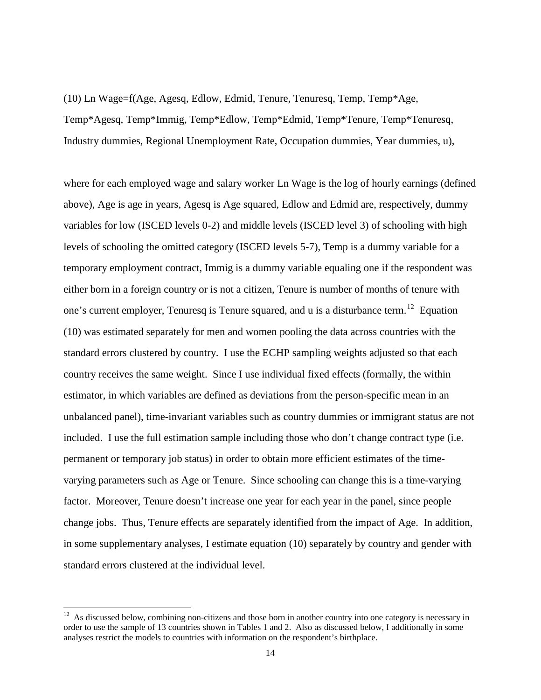(10) Ln Wage=f(Age, Agesq, Edlow, Edmid, Tenure, Tenuresq, Temp, Temp\*Age, Temp\*Agesq, Temp\*Immig, Temp\*Edlow, Temp\*Edmid, Temp\*Tenure, Temp\*Tenuresq, Industry dummies, Regional Unemployment Rate, Occupation dummies, Year dummies, u),

where for each employed wage and salary worker Ln Wage is the log of hourly earnings (defined above), Age is age in years, Agesq is Age squared, Edlow and Edmid are, respectively, dummy variables for low (ISCED levels 0-2) and middle levels (ISCED level 3) of schooling with high levels of schooling the omitted category (ISCED levels 5-7), Temp is a dummy variable for a temporary employment contract, Immig is a dummy variable equaling one if the respondent was either born in a foreign country or is not a citizen, Tenure is number of months of tenure with one's current employer, Tenuresq is Tenure squared, and u is a disturbance term.<sup>12</sup> Equation (10) was estimated separately for men and women pooling the data across countries with the standard errors clustered by country. I use the ECHP sampling weights adjusted so that each country receives the same weight. Since I use individual fixed effects (formally, the within estimator, in which variables are defined as deviations from the person-specific mean in an unbalanced panel), time-invariant variables such as country dummies or immigrant status are not included. I use the full estimation sample including those who don't change contract type (i.e. permanent or temporary job status) in order to obtain more efficient estimates of the timevarying parameters such as Age or Tenure. Since schooling can change this is a time-varying factor. Moreover, Tenure doesn't increase one year for each year in the panel, since people change jobs. Thus, Tenure effects are separately identified from the impact of Age. In addition, in some supplementary analyses, I estimate equation (10) separately by country and gender with standard errors clustered at the individual level.

<span id="page-15-0"></span> $12$  As discussed below, combining non-citizens and those born in another country into one category is necessary in order to use the sample of 13 countries shown in Tables 1 and 2. Also as discussed below, I additionally in some analyses restrict the models to countries with information on the respondent's birthplace.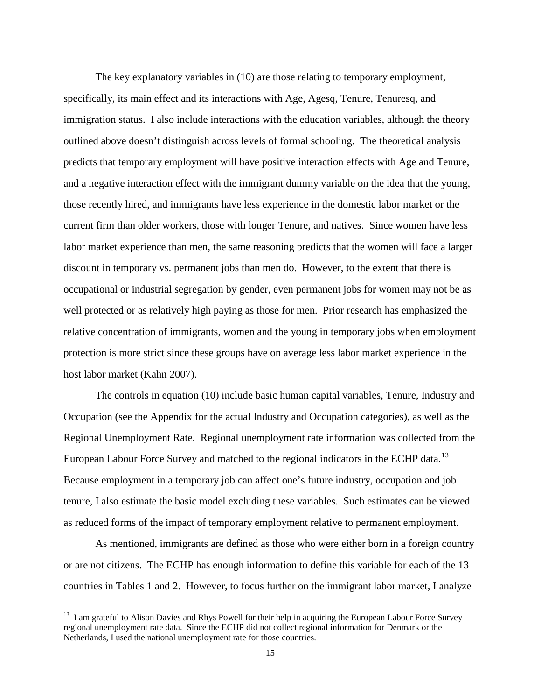The key explanatory variables in (10) are those relating to temporary employment, specifically, its main effect and its interactions with Age, Agesq, Tenure, Tenuresq, and immigration status. I also include interactions with the education variables, although the theory outlined above doesn't distinguish across levels of formal schooling. The theoretical analysis predicts that temporary employment will have positive interaction effects with Age and Tenure, and a negative interaction effect with the immigrant dummy variable on the idea that the young, those recently hired, and immigrants have less experience in the domestic labor market or the current firm than older workers, those with longer Tenure, and natives. Since women have less labor market experience than men, the same reasoning predicts that the women will face a larger discount in temporary vs. permanent jobs than men do. However, to the extent that there is occupational or industrial segregation by gender, even permanent jobs for women may not be as well protected or as relatively high paying as those for men. Prior research has emphasized the relative concentration of immigrants, women and the young in temporary jobs when employment protection is more strict since these groups have on average less labor market experience in the host labor market (Kahn 2007).

The controls in equation (10) include basic human capital variables, Tenure, Industry and Occupation (see the Appendix for the actual Industry and Occupation categories), as well as the Regional Unemployment Rate. Regional unemployment rate information was collected from the European Labour Force Survey and matched to the regional indicators in the ECHP data.<sup>13</sup> Because employment in a temporary job can affect one's future industry, occupation and job tenure, I also estimate the basic model excluding these variables. Such estimates can be viewed as reduced forms of the impact of temporary employment relative to permanent employment.

As mentioned, immigrants are defined as those who were either born in a foreign country or are not citizens. The ECHP has enough information to define this variable for each of the 13 countries in Tables 1 and 2. However, to focus further on the immigrant labor market, I analyze

<span id="page-16-0"></span><sup>&</sup>lt;sup>13</sup> I am grateful to Alison Davies and Rhys Powell for their help in acquiring the European Labour Force Survey regional unemployment rate data. Since the ECHP did not collect regional information for Denmark or the Netherlands, I used the national unemployment rate for those countries.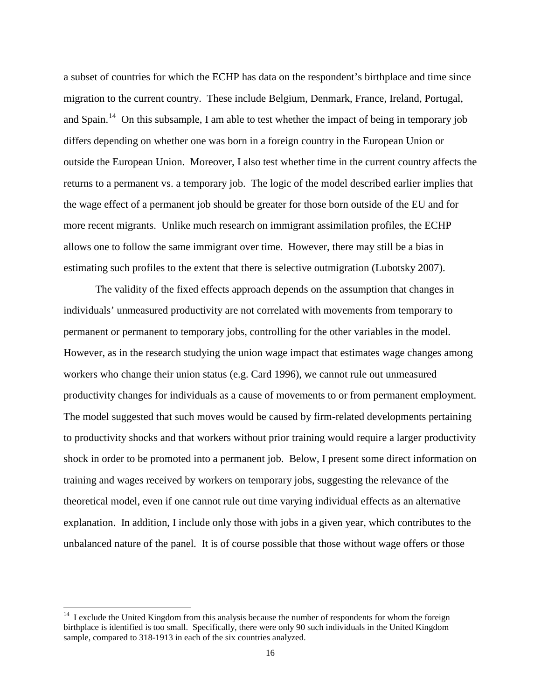a subset of countries for which the ECHP has data on the respondent's birthplace and time since migration to the current country. These include Belgium, Denmark, France, Ireland, Portugal, and Spain.<sup>[14](#page-17-0)</sup> On this subsample, I am able to test whether the impact of being in temporary job differs depending on whether one was born in a foreign country in the European Union or outside the European Union. Moreover, I also test whether time in the current country affects the returns to a permanent vs. a temporary job. The logic of the model described earlier implies that the wage effect of a permanent job should be greater for those born outside of the EU and for more recent migrants. Unlike much research on immigrant assimilation profiles, the ECHP allows one to follow the same immigrant over time. However, there may still be a bias in estimating such profiles to the extent that there is selective outmigration (Lubotsky 2007).

The validity of the fixed effects approach depends on the assumption that changes in individuals' unmeasured productivity are not correlated with movements from temporary to permanent or permanent to temporary jobs, controlling for the other variables in the model. However, as in the research studying the union wage impact that estimates wage changes among workers who change their union status (e.g. Card 1996), we cannot rule out unmeasured productivity changes for individuals as a cause of movements to or from permanent employment. The model suggested that such moves would be caused by firm-related developments pertaining to productivity shocks and that workers without prior training would require a larger productivity shock in order to be promoted into a permanent job. Below, I present some direct information on training and wages received by workers on temporary jobs, suggesting the relevance of the theoretical model, even if one cannot rule out time varying individual effects as an alternative explanation. In addition, I include only those with jobs in a given year, which contributes to the unbalanced nature of the panel. It is of course possible that those without wage offers or those

<span id="page-17-0"></span> $14$  I exclude the United Kingdom from this analysis because the number of respondents for whom the foreign birthplace is identified is too small. Specifically, there were only 90 such individuals in the United Kingdom sample, compared to 318-1913 in each of the six countries analyzed.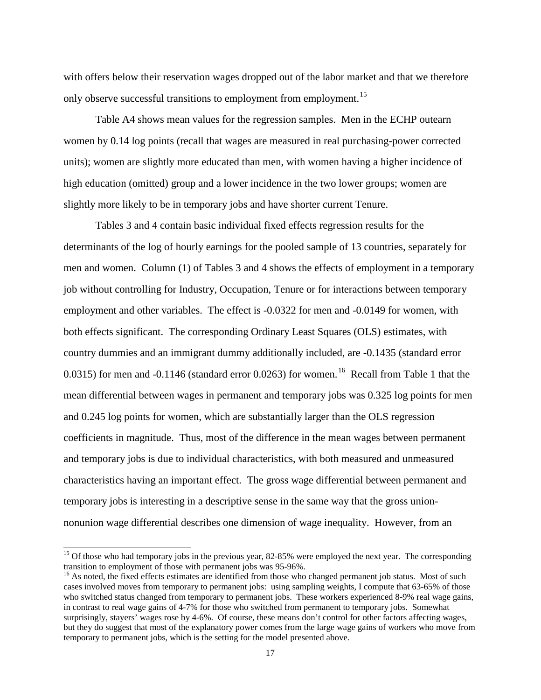with offers below their reservation wages dropped out of the labor market and that we therefore only observe successful transitions to employment from employment.<sup>[15](#page-18-0)</sup>

Table A4 shows mean values for the regression samples. Men in the ECHP outearn women by 0.14 log points (recall that wages are measured in real purchasing-power corrected units); women are slightly more educated than men, with women having a higher incidence of high education (omitted) group and a lower incidence in the two lower groups; women are slightly more likely to be in temporary jobs and have shorter current Tenure.

Tables 3 and 4 contain basic individual fixed effects regression results for the determinants of the log of hourly earnings for the pooled sample of 13 countries, separately for men and women. Column (1) of Tables 3 and 4 shows the effects of employment in a temporary job without controlling for Industry, Occupation, Tenure or for interactions between temporary employment and other variables. The effect is -0.0322 for men and -0.0149 for women, with both effects significant. The corresponding Ordinary Least Squares (OLS) estimates, with country dummies and an immigrant dummy additionally included, are -0.1435 (standard error 0.0315) for men and  $-0.1146$  (standard error 0.0263) for women.<sup>16</sup> Recall from Table 1 that the mean differential between wages in permanent and temporary jobs was 0.325 log points for men and 0.245 log points for women, which are substantially larger than the OLS regression coefficients in magnitude. Thus, most of the difference in the mean wages between permanent and temporary jobs is due to individual characteristics, with both measured and unmeasured characteristics having an important effect. The gross wage differential between permanent and temporary jobs is interesting in a descriptive sense in the same way that the gross unionnonunion wage differential describes one dimension of wage inequality. However, from an

<span id="page-18-0"></span><sup>&</sup>lt;sup>15</sup> Of those who had temporary jobs in the previous year, 82-85% were employed the next year. The corresponding transition to employment of those with permanent jobs was 95-96%.<br><sup>16</sup> As noted, the fixed effects estimates are identified from those who changed permanent job status. Most of such

<span id="page-18-1"></span>cases involved moves from temporary to permanent jobs: using sampling weights, I compute that 63-65% of those who switched status changed from temporary to permanent jobs. These workers experienced 8-9% real wage gains, in contrast to real wage gains of 4-7% for those who switched from permanent to temporary jobs. Somewhat surprisingly, stayers' wages rose by 4-6%. Of course, these means don't control for other factors affecting wages, but they do suggest that most of the explanatory power comes from the large wage gains of workers who move from temporary to permanent jobs, which is the setting for the model presented above.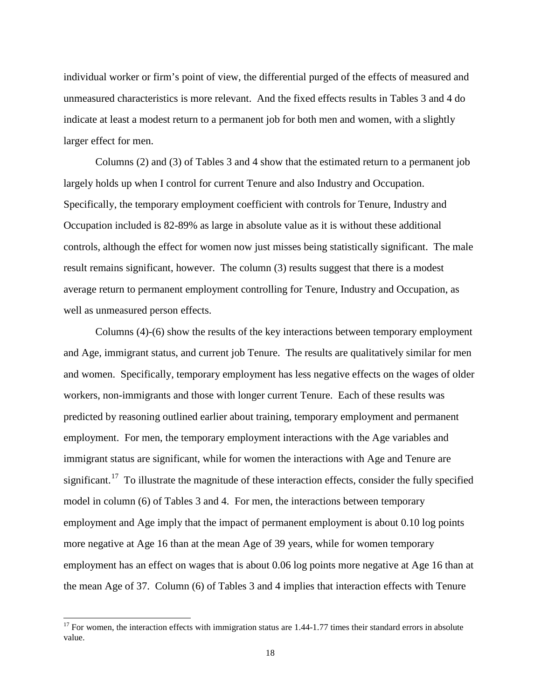individual worker or firm's point of view, the differential purged of the effects of measured and unmeasured characteristics is more relevant. And the fixed effects results in Tables 3 and 4 do indicate at least a modest return to a permanent job for both men and women, with a slightly larger effect for men.

Columns (2) and (3) of Tables 3 and 4 show that the estimated return to a permanent job largely holds up when I control for current Tenure and also Industry and Occupation. Specifically, the temporary employment coefficient with controls for Tenure, Industry and Occupation included is 82-89% as large in absolute value as it is without these additional controls, although the effect for women now just misses being statistically significant. The male result remains significant, however. The column (3) results suggest that there is a modest average return to permanent employment controlling for Tenure, Industry and Occupation, as well as unmeasured person effects.

Columns (4)-(6) show the results of the key interactions between temporary employment and Age, immigrant status, and current job Tenure. The results are qualitatively similar for men and women. Specifically, temporary employment has less negative effects on the wages of older workers, non-immigrants and those with longer current Tenure. Each of these results was predicted by reasoning outlined earlier about training, temporary employment and permanent employment. For men, the temporary employment interactions with the Age variables and immigrant status are significant, while for women the interactions with Age and Tenure are significant.<sup>[17](#page-19-0)</sup> To illustrate the magnitude of these interaction effects, consider the fully specified model in column (6) of Tables 3 and 4. For men, the interactions between temporary employment and Age imply that the impact of permanent employment is about 0.10 log points more negative at Age 16 than at the mean Age of 39 years, while for women temporary employment has an effect on wages that is about 0.06 log points more negative at Age 16 than at the mean Age of 37. Column (6) of Tables 3 and 4 implies that interaction effects with Tenure

<span id="page-19-0"></span> $17$  For women, the interaction effects with immigration status are 1.44-1.77 times their standard errors in absolute value.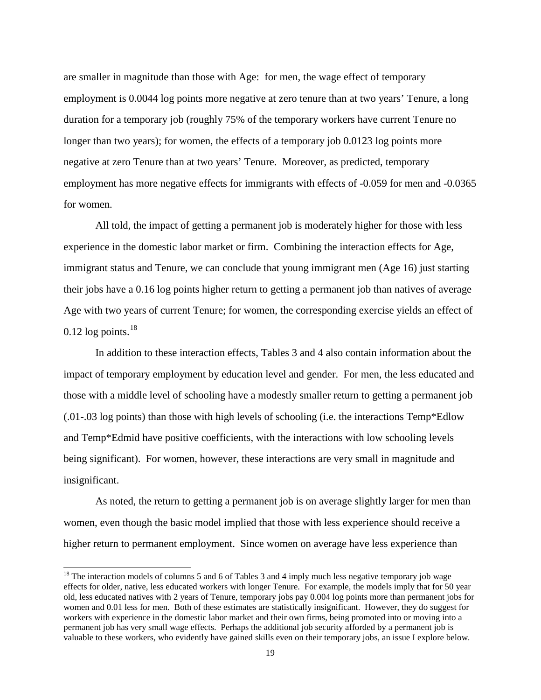are smaller in magnitude than those with Age: for men, the wage effect of temporary employment is 0.0044 log points more negative at zero tenure than at two years' Tenure, a long duration for a temporary job (roughly 75% of the temporary workers have current Tenure no longer than two years); for women, the effects of a temporary job 0.0123 log points more negative at zero Tenure than at two years' Tenure. Moreover, as predicted, temporary employment has more negative effects for immigrants with effects of -0.059 for men and -0.0365 for women.

All told, the impact of getting a permanent job is moderately higher for those with less experience in the domestic labor market or firm. Combining the interaction effects for Age, immigrant status and Tenure, we can conclude that young immigrant men (Age 16) just starting their jobs have a 0.16 log points higher return to getting a permanent job than natives of average Age with two years of current Tenure; for women, the corresponding exercise yields an effect of  $0.12$  log points.<sup>[18](#page-20-0)</sup>

In addition to these interaction effects, Tables 3 and 4 also contain information about the impact of temporary employment by education level and gender. For men, the less educated and those with a middle level of schooling have a modestly smaller return to getting a permanent job (.01-.03 log points) than those with high levels of schooling (i.e. the interactions Temp\*Edlow and Temp\*Edmid have positive coefficients, with the interactions with low schooling levels being significant). For women, however, these interactions are very small in magnitude and insignificant.

As noted, the return to getting a permanent job is on average slightly larger for men than women, even though the basic model implied that those with less experience should receive a higher return to permanent employment. Since women on average have less experience than

<span id="page-20-0"></span><sup>&</sup>lt;sup>18</sup> The interaction models of columns 5 and 6 of Tables 3 and 4 imply much less negative temporary job wage effects for older, native, less educated workers with longer Tenure. For example, the models imply that for 50 year old, less educated natives with 2 years of Tenure, temporary jobs pay 0.004 log points more than permanent jobs for women and 0.01 less for men. Both of these estimates are statistically insignificant. However, they do suggest for workers with experience in the domestic labor market and their own firms, being promoted into or moving into a permanent job has very small wage effects. Perhaps the additional job security afforded by a permanent job is valuable to these workers, who evidently have gained skills even on their temporary jobs, an issue I explore below.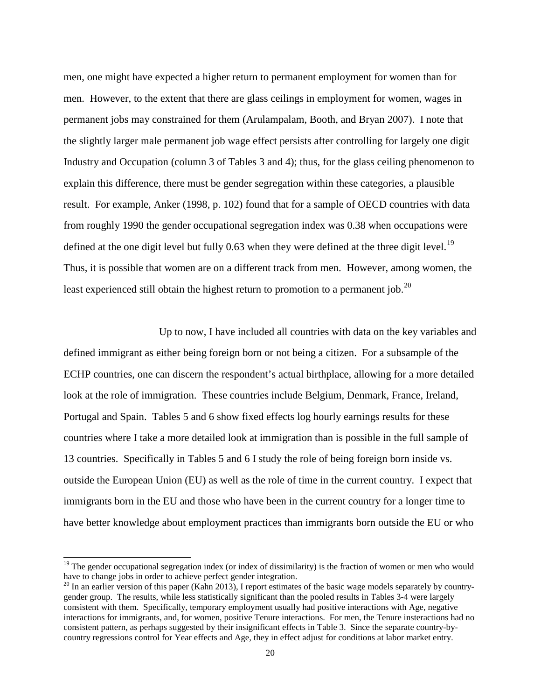men, one might have expected a higher return to permanent employment for women than for men. However, to the extent that there are glass ceilings in employment for women, wages in permanent jobs may constrained for them (Arulampalam, Booth, and Bryan 2007). I note that the slightly larger male permanent job wage effect persists after controlling for largely one digit Industry and Occupation (column 3 of Tables 3 and 4); thus, for the glass ceiling phenomenon to explain this difference, there must be gender segregation within these categories, a plausible result. For example, Anker (1998, p. 102) found that for a sample of OECD countries with data from roughly 1990 the gender occupational segregation index was 0.38 when occupations were defined at the one digit level but fully 0.63 when they were defined at the three digit level.<sup>[19](#page-21-0)</sup> Thus, it is possible that women are on a different track from men. However, among women, the least experienced still obtain the highest return to promotion to a permanent job.<sup>[20](#page-21-1)</sup>

Up to now, I have included all countries with data on the key variables and defined immigrant as either being foreign born or not being a citizen. For a subsample of the ECHP countries, one can discern the respondent's actual birthplace, allowing for a more detailed look at the role of immigration. These countries include Belgium, Denmark, France, Ireland, Portugal and Spain. Tables 5 and 6 show fixed effects log hourly earnings results for these countries where I take a more detailed look at immigration than is possible in the full sample of 13 countries. Specifically in Tables 5 and 6 I study the role of being foreign born inside vs. outside the European Union (EU) as well as the role of time in the current country. I expect that immigrants born in the EU and those who have been in the current country for a longer time to have better knowledge about employment practices than immigrants born outside the EU or who

<span id="page-21-0"></span> $19$  The gender occupational segregation index (or index of dissimilarity) is the fraction of women or men who would have to change jobs in order to achieve perfect gender integration.

<span id="page-21-1"></span> $20$  In an earlier version of this paper (Kahn 2013), I report estimates of the basic wage models separately by countrygender group. The results, while less statistically significant than the pooled results in Tables 3-4 were largely consistent with them. Specifically, temporary employment usually had positive interactions with Age, negative interactions for immigrants, and, for women, positive Tenure interactions. For men, the Tenure insteractions had no consistent pattern, as perhaps suggested by their insignificant effects in Table 3. Since the separate country-bycountry regressions control for Year effects and Age, they in effect adjust for conditions at labor market entry.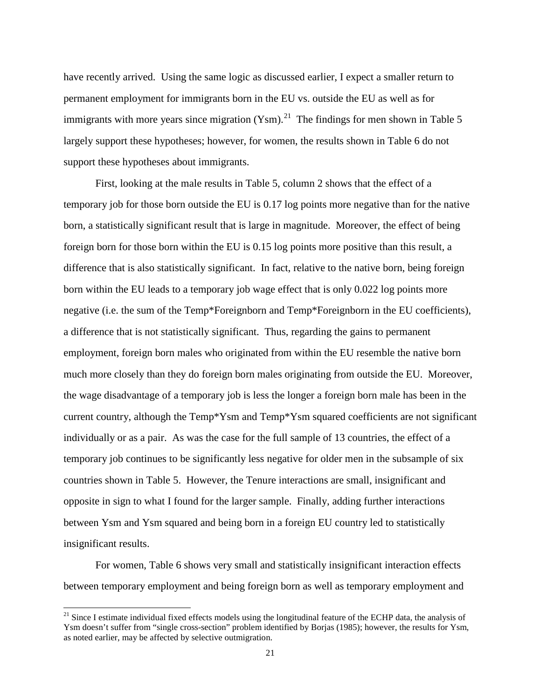have recently arrived. Using the same logic as discussed earlier, I expect a smaller return to permanent employment for immigrants born in the EU vs. outside the EU as well as for immigrants with more years since migration  $(Y \text{sm})$ .<sup>21</sup> The findings for men shown in Table 5 largely support these hypotheses; however, for women, the results shown in Table 6 do not support these hypotheses about immigrants.

First, looking at the male results in Table 5, column 2 shows that the effect of a temporary job for those born outside the EU is 0.17 log points more negative than for the native born, a statistically significant result that is large in magnitude. Moreover, the effect of being foreign born for those born within the EU is 0.15 log points more positive than this result, a difference that is also statistically significant. In fact, relative to the native born, being foreign born within the EU leads to a temporary job wage effect that is only 0.022 log points more negative (i.e. the sum of the Temp\*Foreignborn and Temp\*Foreignborn in the EU coefficients), a difference that is not statistically significant. Thus, regarding the gains to permanent employment, foreign born males who originated from within the EU resemble the native born much more closely than they do foreign born males originating from outside the EU. Moreover, the wage disadvantage of a temporary job is less the longer a foreign born male has been in the current country, although the Temp\*Ysm and Temp\*Ysm squared coefficients are not significant individually or as a pair. As was the case for the full sample of 13 countries, the effect of a temporary job continues to be significantly less negative for older men in the subsample of six countries shown in Table 5. However, the Tenure interactions are small, insignificant and opposite in sign to what I found for the larger sample. Finally, adding further interactions between Ysm and Ysm squared and being born in a foreign EU country led to statistically insignificant results.

For women, Table 6 shows very small and statistically insignificant interaction effects between temporary employment and being foreign born as well as temporary employment and

<span id="page-22-0"></span><sup>&</sup>lt;sup>21</sup> Since I estimate individual fixed effects models using the longitudinal feature of the ECHP data, the analysis of Ysm doesn't suffer from "single cross-section" problem identified by Borjas (1985); however, the results for Ysm, as noted earlier, may be affected by selective outmigration.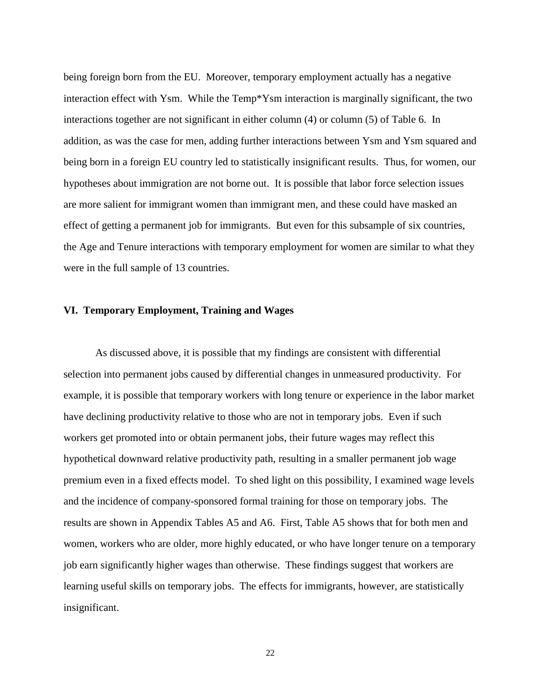being foreign born from the EU. Moreover, temporary employment actually has a negative interaction effect with Ysm. While the Temp\*Ysm interaction is marginally significant, the two interactions together are not significant in either column (4) or column (5) of Table 6. In addition, as was the case for men, adding further interactions between Ysm and Ysm squared and being born in a foreign EU country led to statistically insignificant results. Thus, for women, our hypotheses about immigration are not borne out. It is possible that labor force selection issues are more salient for immigrant women than immigrant men, and these could have masked an effect of getting a permanent job for immigrants. But even for this subsample of six countries, the Age and Tenure interactions with temporary employment for women are similar to what they were in the full sample of 13 countries.

#### **VI. Temporary Employment, Training and Wages**

As discussed above, it is possible that my findings are consistent with differential selection into permanent jobs caused by differential changes in unmeasured productivity. For example, it is possible that temporary workers with long tenure or experience in the labor market have declining productivity relative to those who are not in temporary jobs. Even if such workers get promoted into or obtain permanent jobs, their future wages may reflect this hypothetical downward relative productivity path, resulting in a smaller permanent job wage premium even in a fixed effects model. To shed light on this possibility, I examined wage levels and the incidence of company-sponsored formal training for those on temporary jobs. The results are shown in Appendix Tables A5 and A6. First, Table A5 shows that for both men and women, workers who are older, more highly educated, or who have longer tenure on a temporary job earn significantly higher wages than otherwise. These findings suggest that workers are learning useful skills on temporary jobs. The effects for immigrants, however, are statistically insignificant.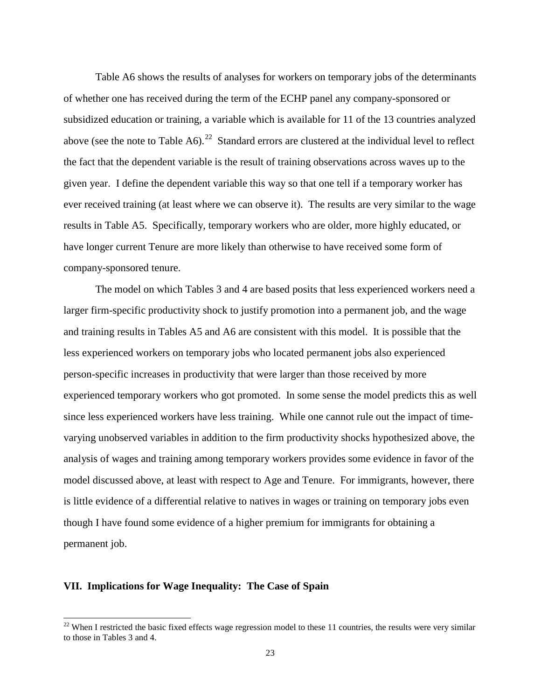Table A6 shows the results of analyses for workers on temporary jobs of the determinants of whether one has received during the term of the ECHP panel any company-sponsored or subsidized education or training, a variable which is available for 11 of the 13 countries analyzed above (see the note to Table A6).<sup>[22](#page-24-0)</sup> Standard errors are clustered at the individual level to reflect the fact that the dependent variable is the result of training observations across waves up to the given year. I define the dependent variable this way so that one tell if a temporary worker has ever received training (at least where we can observe it). The results are very similar to the wage results in Table A5. Specifically, temporary workers who are older, more highly educated, or have longer current Tenure are more likely than otherwise to have received some form of company-sponsored tenure.

The model on which Tables 3 and 4 are based posits that less experienced workers need a larger firm-specific productivity shock to justify promotion into a permanent job, and the wage and training results in Tables A5 and A6 are consistent with this model. It is possible that the less experienced workers on temporary jobs who located permanent jobs also experienced person-specific increases in productivity that were larger than those received by more experienced temporary workers who got promoted. In some sense the model predicts this as well since less experienced workers have less training. While one cannot rule out the impact of timevarying unobserved variables in addition to the firm productivity shocks hypothesized above, the analysis of wages and training among temporary workers provides some evidence in favor of the model discussed above, at least with respect to Age and Tenure. For immigrants, however, there is little evidence of a differential relative to natives in wages or training on temporary jobs even though I have found some evidence of a higher premium for immigrants for obtaining a permanent job.

#### **VII. Implications for Wage Inequality: The Case of Spain**

<span id="page-24-0"></span> $22$  When I restricted the basic fixed effects wage regression model to these 11 countries, the results were very similar to those in Tables 3 and 4.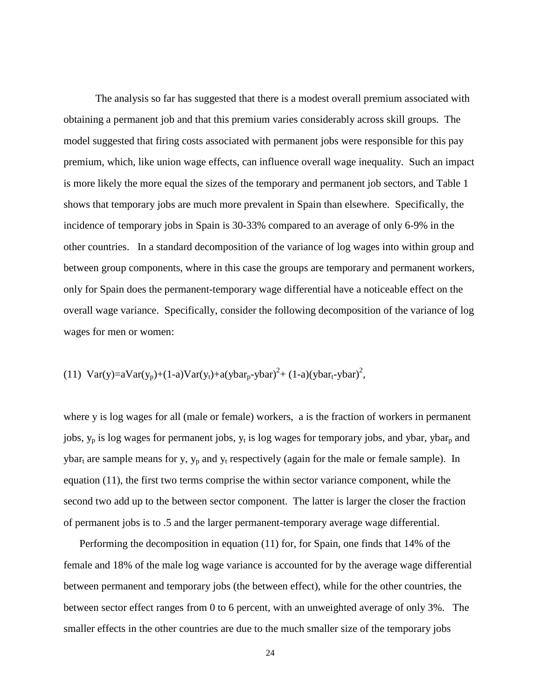The analysis so far has suggested that there is a modest overall premium associated with obtaining a permanent job and that this premium varies considerably across skill groups. The model suggested that firing costs associated with permanent jobs were responsible for this pay premium, which, like union wage effects, can influence overall wage inequality. Such an impact is more likely the more equal the sizes of the temporary and permanent job sectors, and Table 1 shows that temporary jobs are much more prevalent in Spain than elsewhere. Specifically, the incidence of temporary jobs in Spain is 30-33% compared to an average of only 6-9% in the other countries. In a standard decomposition of the variance of log wages into within group and between group components, where in this case the groups are temporary and permanent workers, only for Spain does the permanent-temporary wage differential have a noticeable effect on the overall wage variance. Specifically, consider the following decomposition of the variance of log wages for men or women:

(11) 
$$
Var(y)=aVar(y_p)+(1-a)Var(y_t)+a(ybar_p-ybar)^2+(1-a)(ybar_t-ybar)^2
$$
,

where y is log wages for all (male or female) workers, a is the fraction of workers in permanent jobs,  $y_p$  is log wages for permanent jobs,  $y_t$  is log wages for temporary jobs, and ybar, ybar<sub>p</sub> and ybar<sub>t</sub> are sample means for y,  $y_p$  and  $y_t$  respectively (again for the male or female sample). In equation (11), the first two terms comprise the within sector variance component, while the second two add up to the between sector component. The latter is larger the closer the fraction of permanent jobs is to .5 and the larger permanent-temporary average wage differential.

Performing the decomposition in equation (11) for, for Spain, one finds that 14% of the female and 18% of the male log wage variance is accounted for by the average wage differential between permanent and temporary jobs (the between effect), while for the other countries, the between sector effect ranges from 0 to 6 percent, with an unweighted average of only 3%. The smaller effects in the other countries are due to the much smaller size of the temporary jobs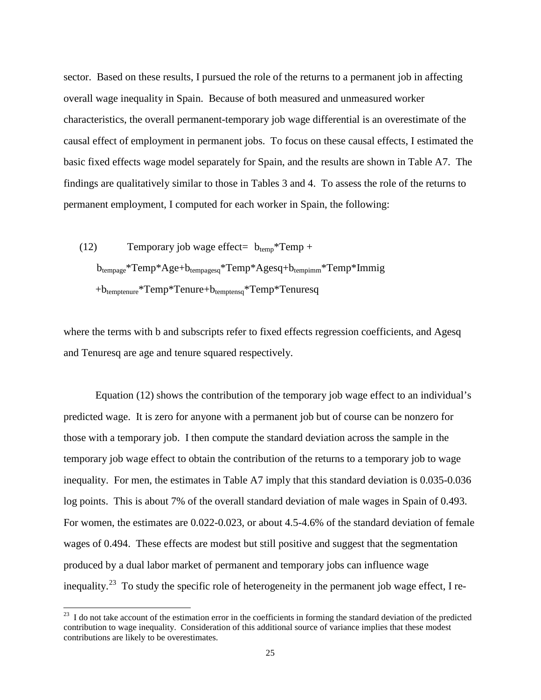sector. Based on these results, I pursued the role of the returns to a permanent job in affecting overall wage inequality in Spain. Because of both measured and unmeasured worker characteristics, the overall permanent-temporary job wage differential is an overestimate of the causal effect of employment in permanent jobs. To focus on these causal effects, I estimated the basic fixed effects wage model separately for Spain, and the results are shown in Table A7. The findings are qualitatively similar to those in Tables 3 and 4. To assess the role of the returns to permanent employment, I computed for each worker in Spain, the following:

(12) Temporary job wage effect=  $b_{temp}$ \*Temp +  $b_{tempage}$ \*Temp\* $Age+b_{tempagesq}$ \*Temp\* $Agesf+b_{tempingsq}$ \*Temp\*Immig +b<sub>temptenure</sub>\*Temp\*Tenure+b<sub>temptensq</sub>\*Temp\*Tenuresq

where the terms with b and subscripts refer to fixed effects regression coefficients, and Agesq and Tenuresq are age and tenure squared respectively.

Equation (12) shows the contribution of the temporary job wage effect to an individual's predicted wage. It is zero for anyone with a permanent job but of course can be nonzero for those with a temporary job. I then compute the standard deviation across the sample in the temporary job wage effect to obtain the contribution of the returns to a temporary job to wage inequality. For men, the estimates in Table A7 imply that this standard deviation is 0.035-0.036 log points. This is about 7% of the overall standard deviation of male wages in Spain of 0.493. For women, the estimates are 0.022-0.023, or about 4.5-4.6% of the standard deviation of female wages of 0.494. These effects are modest but still positive and suggest that the segmentation produced by a dual labor market of permanent and temporary jobs can influence wage inequality.<sup>23</sup> To study the specific role of heterogeneity in the permanent job wage effect, I re-

<span id="page-26-0"></span> $23$  I do not take account of the estimation error in the coefficients in forming the standard deviation of the predicted contribution to wage inequality. Consideration of this additional source of variance implies that these modest contributions are likely to be overestimates.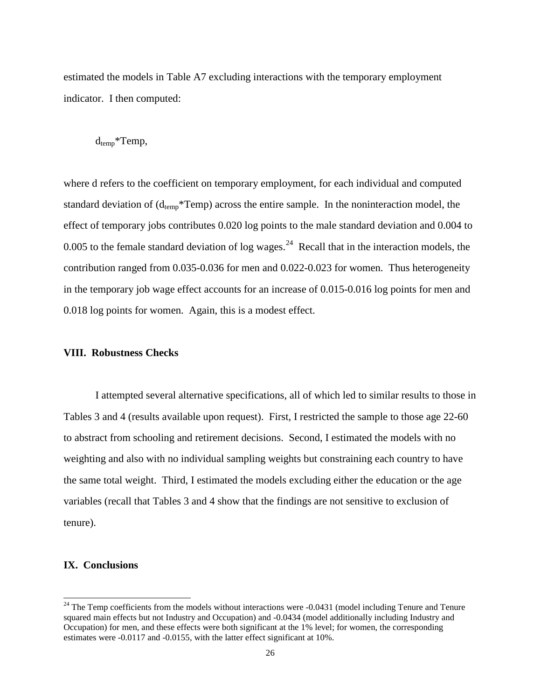estimated the models in Table A7 excluding interactions with the temporary employment indicator. I then computed:

 $d_{temp}$ \*Temp,

where d refers to the coefficient on temporary employment, for each individual and computed standard deviation of  $(d_{temp} * Temp)$  across the entire sample. In the noninteraction model, the effect of temporary jobs contributes 0.020 log points to the male standard deviation and 0.004 to 0.005 to the female standard deviation of log wages.<sup>24</sup> Recall that in the interaction models, the contribution ranged from 0.035-0.036 for men and 0.022-0.023 for women. Thus heterogeneity in the temporary job wage effect accounts for an increase of 0.015-0.016 log points for men and 0.018 log points for women. Again, this is a modest effect.

#### **VIII. Robustness Checks**

I attempted several alternative specifications, all of which led to similar results to those in Tables 3 and 4 (results available upon request). First, I restricted the sample to those age 22-60 to abstract from schooling and retirement decisions. Second, I estimated the models with no weighting and also with no individual sampling weights but constraining each country to have the same total weight. Third, I estimated the models excluding either the education or the age variables (recall that Tables 3 and 4 show that the findings are not sensitive to exclusion of tenure).

## **IX. Conclusions**

<span id="page-27-0"></span> $24$  The Temp coefficients from the models without interactions were  $-0.0431$  (model including Tenure and Tenure squared main effects but not Industry and Occupation) and -0.0434 (model additionally including Industry and Occupation) for men, and these effects were both significant at the 1% level; for women, the corresponding estimates were -0.0117 and -0.0155, with the latter effect significant at 10%.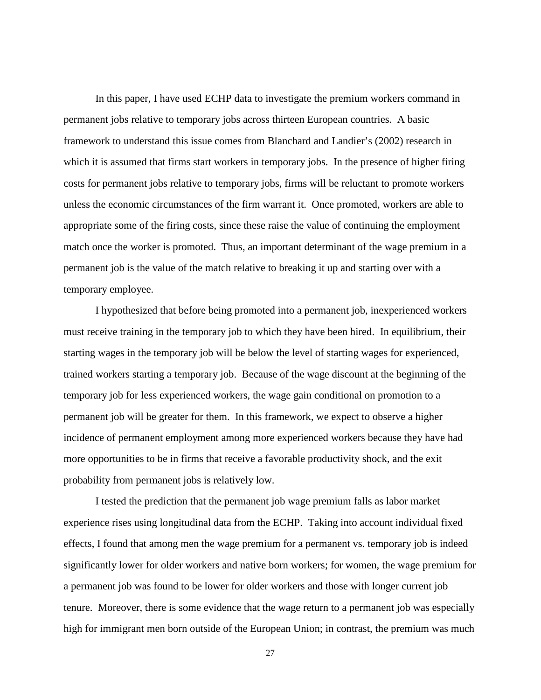In this paper, I have used ECHP data to investigate the premium workers command in permanent jobs relative to temporary jobs across thirteen European countries. A basic framework to understand this issue comes from Blanchard and Landier's (2002) research in which it is assumed that firms start workers in temporary jobs. In the presence of higher firing costs for permanent jobs relative to temporary jobs, firms will be reluctant to promote workers unless the economic circumstances of the firm warrant it. Once promoted, workers are able to appropriate some of the firing costs, since these raise the value of continuing the employment match once the worker is promoted. Thus, an important determinant of the wage premium in a permanent job is the value of the match relative to breaking it up and starting over with a temporary employee.

I hypothesized that before being promoted into a permanent job, inexperienced workers must receive training in the temporary job to which they have been hired. In equilibrium, their starting wages in the temporary job will be below the level of starting wages for experienced, trained workers starting a temporary job. Because of the wage discount at the beginning of the temporary job for less experienced workers, the wage gain conditional on promotion to a permanent job will be greater for them. In this framework, we expect to observe a higher incidence of permanent employment among more experienced workers because they have had more opportunities to be in firms that receive a favorable productivity shock, and the exit probability from permanent jobs is relatively low.

I tested the prediction that the permanent job wage premium falls as labor market experience rises using longitudinal data from the ECHP. Taking into account individual fixed effects, I found that among men the wage premium for a permanent vs. temporary job is indeed significantly lower for older workers and native born workers; for women, the wage premium for a permanent job was found to be lower for older workers and those with longer current job tenure. Moreover, there is some evidence that the wage return to a permanent job was especially high for immigrant men born outside of the European Union; in contrast, the premium was much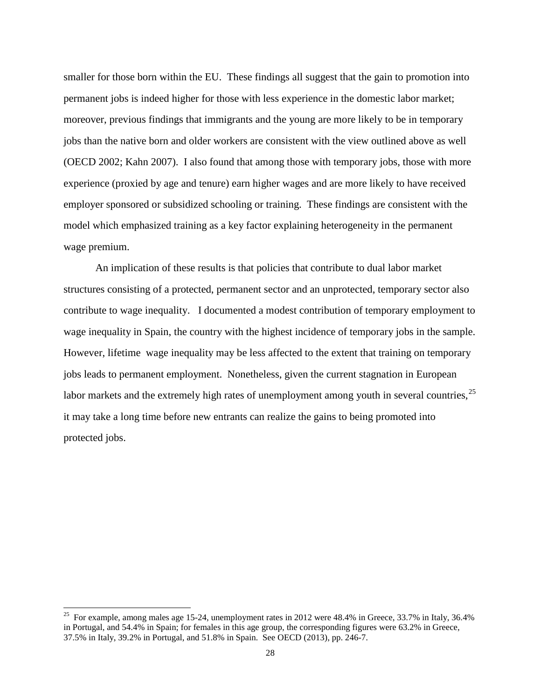smaller for those born within the EU. These findings all suggest that the gain to promotion into permanent jobs is indeed higher for those with less experience in the domestic labor market; moreover, previous findings that immigrants and the young are more likely to be in temporary jobs than the native born and older workers are consistent with the view outlined above as well (OECD 2002; Kahn 2007). I also found that among those with temporary jobs, those with more experience (proxied by age and tenure) earn higher wages and are more likely to have received employer sponsored or subsidized schooling or training. These findings are consistent with the model which emphasized training as a key factor explaining heterogeneity in the permanent wage premium.

An implication of these results is that policies that contribute to dual labor market structures consisting of a protected, permanent sector and an unprotected, temporary sector also contribute to wage inequality. I documented a modest contribution of temporary employment to wage inequality in Spain, the country with the highest incidence of temporary jobs in the sample. However, lifetime wage inequality may be less affected to the extent that training on temporary jobs leads to permanent employment. Nonetheless, given the current stagnation in European labor markets and the extremely high rates of unemployment among youth in several countries,  $2<sup>5</sup>$ it may take a long time before new entrants can realize the gains to being promoted into protected jobs.

<span id="page-29-0"></span><sup>&</sup>lt;sup>25</sup> For example, among males age 15-24, unemployment rates in 2012 were  $48.4\%$  in Greece, 33.7% in Italy, 36.4% in Portugal, and 54.4% in Spain; for females in this age group, the corresponding figures were 63.2% in Greece, 37.5% in Italy, 39.2% in Portugal, and 51.8% in Spain. See OECD (2013), pp. 246-7.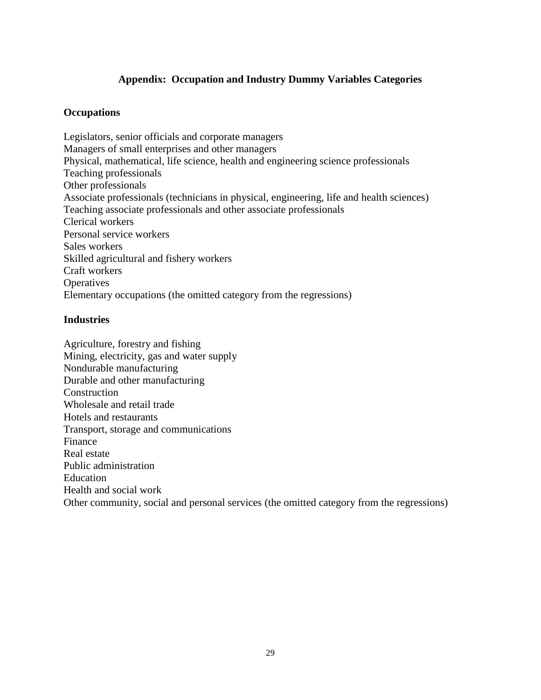## **Appendix: Occupation and Industry Dummy Variables Categories**

## **Occupations**

Legislators, senior officials and corporate managers Managers of small enterprises and other managers Physical, mathematical, life science, health and engineering science professionals Teaching professionals Other professionals Associate professionals (technicians in physical, engineering, life and health sciences) Teaching associate professionals and other associate professionals Clerical workers Personal service workers Sales workers Skilled agricultural and fishery workers Craft workers **Operatives** Elementary occupations (the omitted category from the regressions)

## **Industries**

Agriculture, forestry and fishing Mining, electricity, gas and water supply Nondurable manufacturing Durable and other manufacturing Construction Wholesale and retail trade Hotels and restaurants Transport, storage and communications Finance Real estate Public administration Education Health and social work Other community, social and personal services (the omitted category from the regressions)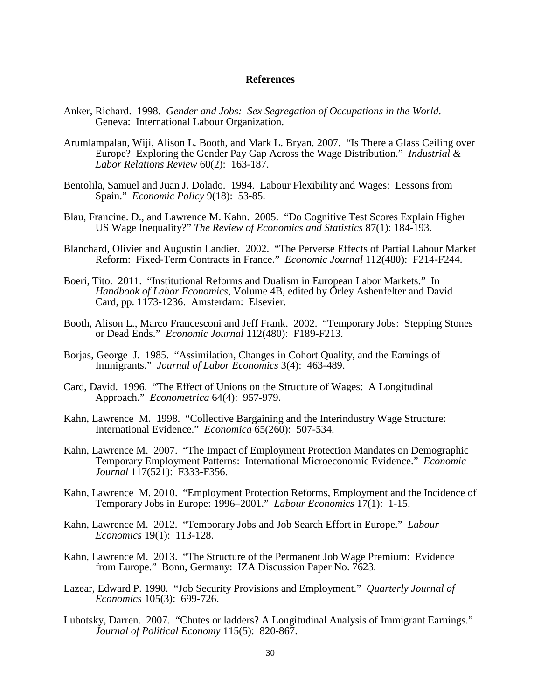#### **References**

- Anker, Richard. 1998. *Gender and Jobs: Sex Segregation of Occupations in the World*. Geneva: International Labour Organization.
- Arumlampalan, Wiji, Alison L. Booth, and Mark L. Bryan. 2007. "Is There a Glass Ceiling over Europe? Exploring the Gender Pay Gap Across the Wage Distribution." *Industrial & Labor Relations Review* 60(2): 163-187.
- Bentolila, Samuel and Juan J. Dolado. 1994. Labour Flexibility and Wages: Lessons from Spain." *Economic Policy* 9(18): 53-85.
- Blau, Francine. D., and Lawrence M. Kahn. 2005. "Do Cognitive Test Scores Explain Higher US Wage Inequality?" *The Review of Economics and Statistics* 87(1): 184-193.
- Blanchard, Olivier and Augustin Landier. 2002. "The Perverse Effects of Partial Labour Market Reform: Fixed-Term Contracts in France." *Economic Journal* 112(480): F214-F244.
- Boeri, Tito. 2011. "Institutional Reforms and Dualism in European Labor Markets." In *Handbook of Labor Economics*, Volume 4B, edited by Orley Ashenfelter and David Card, pp. 1173-1236. Amsterdam: Elsevier.
- Booth, Alison L., Marco Francesconi and Jeff Frank. 2002. "Temporary Jobs: Stepping Stones or Dead Ends." *Economic Journal* 112(480): F189-F213.
- Borjas, George J. 1985. "Assimilation, Changes in Cohort Quality, and the Earnings of Immigrants." *Journal of Labor Economics* 3(4): 463-489.
- Card, David. 1996. "The Effect of Unions on the Structure of Wages: A Longitudinal Approach." *Econometrica* 64(4): 957-979.
- Kahn, Lawrence M. 1998. "Collective Bargaining and the Interindustry Wage Structure: International Evidence." *Economica* 65(260): 507-534.
- Kahn, Lawrence M. 2007. "The Impact of Employment Protection Mandates on Demographic Temporary Employment Patterns: International Microeconomic Evidence." *Economic Journal* 117(521): F333-F356.
- Kahn, Lawrence M. 2010. "Employment Protection Reforms, Employment and the Incidence of Temporary Jobs in Europe: 1996–2001." *Labour Economics* 17(1): 1-15.
- Kahn, Lawrence M. 2012. "Temporary Jobs and Job Search Effort in Europe." *Labour Economics* 19(1): 113-128.
- Kahn, Lawrence M. 2013. "The Structure of the Permanent Job Wage Premium: Evidence from Europe." Bonn, Germany: IZA Discussion Paper No. 7623.
- Lazear, Edward P. 1990. "Job Security Provisions and Employment." *Quarterly Journal of Economics* 105(3): 699-726.
- Lubotsky, Darren. 2007. "Chutes or ladders? A Longitudinal Analysis of Immigrant Earnings." *Journal of Political Economy* 115(5): 820-867.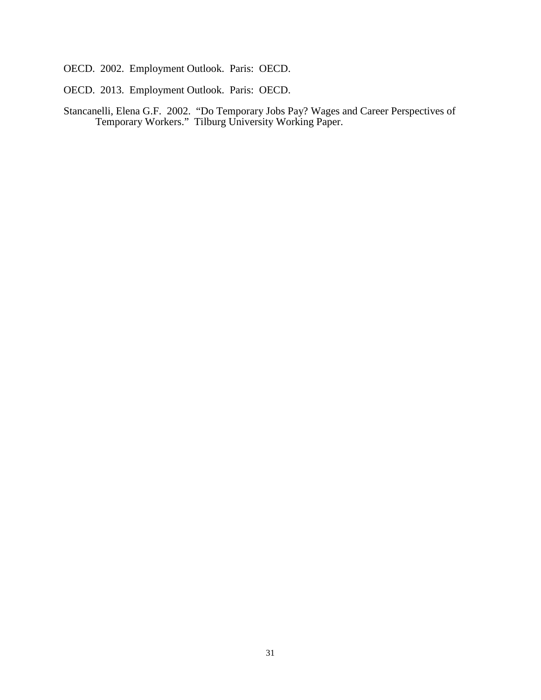OECD. 2002. Employment Outlook. Paris: OECD.

OECD. 2013. Employment Outlook. Paris: OECD.

Stancanelli, Elena G.F. 2002. "Do Temporary Jobs Pay? Wages and Career Perspectives of Temporary Workers." Tilburg University Working Paper.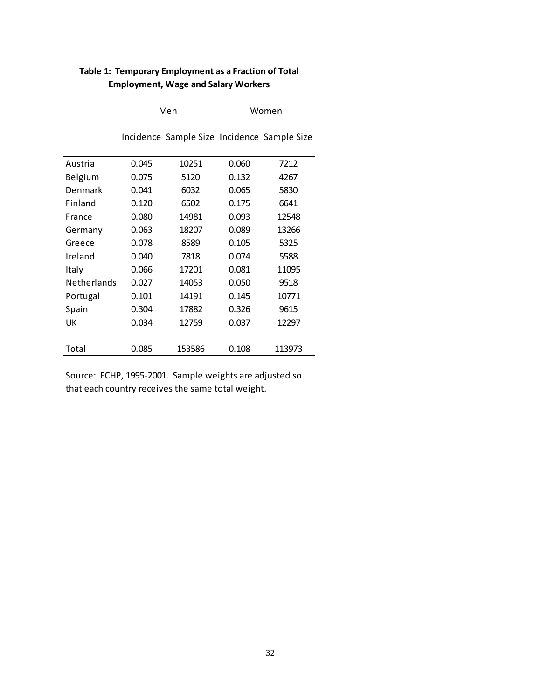# **Table 1: Temporary Employment as a Fraction of Total Employment, Wage and Salary Workers**

|                    |       | Men                                         | Women |        |  |  |
|--------------------|-------|---------------------------------------------|-------|--------|--|--|
|                    |       | Incidence Sample Size Incidence Sample Size |       |        |  |  |
| Austria            | 0.045 | 10251                                       | 0.060 | 7212   |  |  |
| Belgium            | 0.075 | 5120                                        | 0.132 | 4267   |  |  |
| Denmark            | 0.041 | 6032                                        | 0.065 | 5830   |  |  |
| Finland            | 0.120 | 6502                                        | 0.175 | 6641   |  |  |
| France             | 0.080 | 14981                                       | 0.093 | 12548  |  |  |
| Germany            | 0.063 | 18207                                       | 0.089 | 13266  |  |  |
| Greece             | 0.078 | 8589                                        | 0.105 | 5325   |  |  |
| Ireland            | 0.040 | 7818                                        | 0.074 | 5588   |  |  |
| Italy              | 0.066 | 17201                                       | 0.081 | 11095  |  |  |
| <b>Netherlands</b> | 0.027 | 14053                                       | 0.050 | 9518   |  |  |
| Portugal           | 0.101 | 14191                                       | 0.145 | 10771  |  |  |
| Spain              | 0.304 | 17882                                       | 0.326 | 9615   |  |  |
| UK                 | 0.034 | 12759                                       | 0.037 | 12297  |  |  |
|                    |       |                                             |       |        |  |  |
| Total              | 0.085 | 153586                                      | 0.108 | 113973 |  |  |

Source: ECHP, 1995-2001. Sample weights are adjusted so that each country receives the same total weight.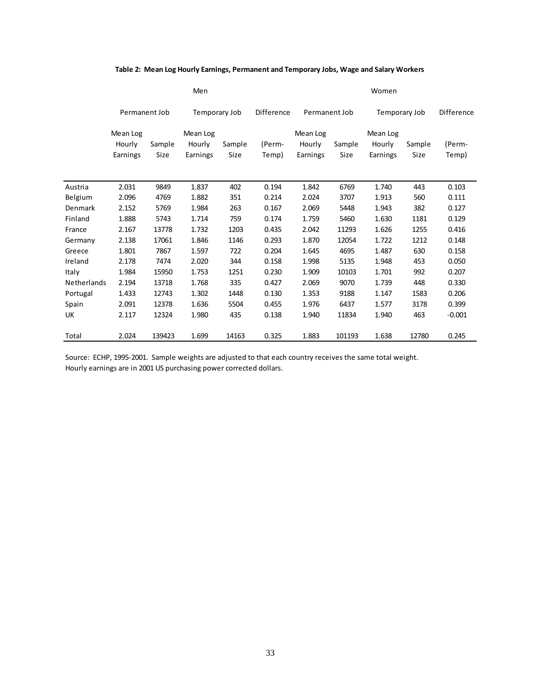|                    | Men                            |                |                                |                |                 |                                | Women          |                                |                |                 |
|--------------------|--------------------------------|----------------|--------------------------------|----------------|-----------------|--------------------------------|----------------|--------------------------------|----------------|-----------------|
|                    | Permanent Job                  |                |                                | Temporary Job  |                 | Permanent Job                  |                | Temporary Job                  |                | Difference      |
|                    | Mean Log<br>Hourly<br>Earnings | Sample<br>Size | Mean Log<br>Hourly<br>Earnings | Sample<br>Size | (Perm-<br>Temp) | Mean Log<br>Hourly<br>Earnings | Sample<br>Size | Mean Log<br>Hourly<br>Earnings | Sample<br>Size | (Perm-<br>Temp) |
| Austria            | 2.031                          | 9849           | 1.837                          | 402            | 0.194           | 1.842                          | 6769           | 1.740                          | 443            | 0.103           |
| Belgium            | 2.096                          | 4769           | 1.882                          | 351            | 0.214           | 2.024                          | 3707           | 1.913                          | 560            | 0.111           |
| Denmark            | 2.152                          | 5769           | 1.984                          | 263            | 0.167           | 2.069                          | 5448           | 1.943                          | 382            | 0.127           |
| Finland            | 1.888                          | 5743           | 1.714                          | 759            | 0.174           | 1.759                          | 5460           | 1.630                          | 1181           | 0.129           |
| France             | 2.167                          | 13778          | 1.732                          | 1203           | 0.435           | 2.042                          | 11293          | 1.626                          | 1255           | 0.416           |
| Germany            | 2.138                          | 17061          | 1.846                          | 1146           | 0.293           | 1.870                          | 12054          | 1.722                          | 1212           | 0.148           |
| Greece             | 1.801                          | 7867           | 1.597                          | 722            | 0.204           | 1.645                          | 4695           | 1.487                          | 630            | 0.158           |
| Ireland            | 2.178                          | 7474           | 2.020                          | 344            | 0.158           | 1.998                          | 5135           | 1.948                          | 453            | 0.050           |
| Italy              | 1.984                          | 15950          | 1.753                          | 1251           | 0.230           | 1.909                          | 10103          | 1.701                          | 992            | 0.207           |
| <b>Netherlands</b> | 2.194                          | 13718          | 1.768                          | 335            | 0.427           | 2.069                          | 9070           | 1.739                          | 448            | 0.330           |
| Portugal           | 1.433                          | 12743          | 1.302                          | 1448           | 0.130           | 1.353                          | 9188           | 1.147                          | 1583           | 0.206           |
| Spain              | 2.091                          | 12378          | 1.636                          | 5504           | 0.455           | 1.976                          | 6437           | 1.577                          | 3178           | 0.399           |
| UK                 | 2.117                          | 12324          | 1.980                          | 435            | 0.138           | 1.940                          | 11834          | 1.940                          | 463            | $-0.001$        |
| Total              | 2.024                          | 139423         | 1.699                          | 14163          | 0.325           | 1.883                          | 101193         | 1.638                          | 12780          | 0.245           |

Source: ECHP, 1995-2001. Sample weights are adjusted to that each country receives the same total weight. Hourly earnings are in 2001 US purchasing power corrected dollars.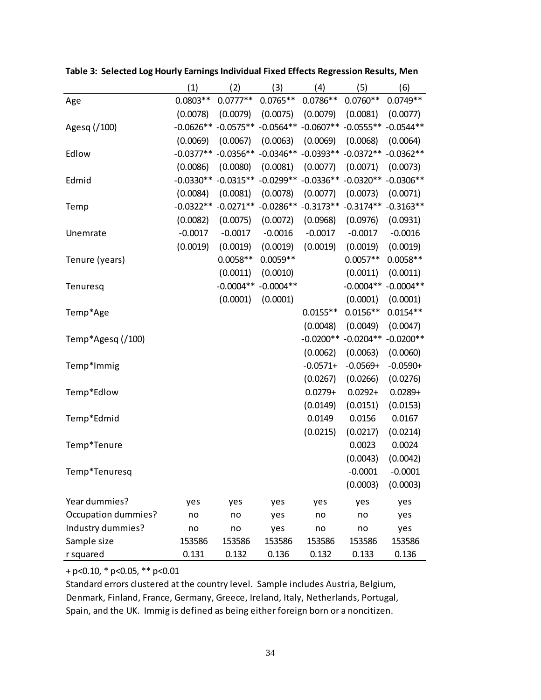|                     | (1)         | (2)         | (3)         | (4)                             | (5)                   | (6)         |
|---------------------|-------------|-------------|-------------|---------------------------------|-----------------------|-------------|
| Age                 | $0.0803**$  | $0.0777**$  | $0.0765**$  | $0.0786**$                      | $0.0760**$            | $0.0749**$  |
|                     | (0.0078)    | (0.0079)    | (0.0075)    | (0.0079)                        | (0.0081)              | (0.0077)    |
| Agesq (/100)        | $-0.0626**$ |             |             | $-0.0575** -0.0564** -0.0607**$ | $-0.0555**$           | $-0.0544**$ |
|                     | (0.0069)    | (0.0067)    | (0.0063)    | (0.0069)                        | (0.0068)              | (0.0064)    |
| Edlow               | $-0.0377**$ |             |             | $-0.0356** -0.0346** -0.0393**$ | $-0.0372** -0.0362**$ |             |
|                     | (0.0086)    | (0.0080)    | (0.0081)    | (0.0077)                        | (0.0071)              | (0.0073)    |
| Edmid               | $-0.0330**$ | $-0.0315**$ |             | $-0.0299** -0.0336**$           | $-0.0320**$           | $-0.0306**$ |
|                     | (0.0084)    | (0.0081)    | (0.0078)    | (0.0077)                        | (0.0073)              | (0.0071)    |
| Temp                | $-0.0322**$ |             |             | $-0.0271** -0.0286** -0.3173**$ | $-0.3174** -0.3163**$ |             |
|                     | (0.0082)    | (0.0075)    | (0.0072)    | (0.0968)                        | (0.0976)              | (0.0931)    |
| Unemrate            | $-0.0017$   | $-0.0017$   | $-0.0016$   | $-0.0017$                       | $-0.0017$             | $-0.0016$   |
|                     | (0.0019)    | (0.0019)    | (0.0019)    | (0.0019)                        | (0.0019)              | (0.0019)    |
| Tenure (years)      |             | $0.0058**$  | $0.0059**$  |                                 | $0.0057**$            | $0.0058**$  |
|                     |             | (0.0011)    | (0.0010)    |                                 | (0.0011)              | (0.0011)    |
| Tenuresq            |             | $-0.0004**$ | $-0.0004**$ |                                 | $-0.0004**$           | $-0.0004**$ |
|                     |             | (0.0001)    | (0.0001)    |                                 | (0.0001)              | (0.0001)    |
| Temp*Age            |             |             |             | $0.0155**$                      | $0.0156**$            | $0.0154**$  |
|                     |             |             |             | (0.0048)                        | (0.0049)              | (0.0047)    |
| Temp*Agesq (/100)   |             |             |             | $-0.0200**$                     | $-0.0204**$           | $-0.0200**$ |
|                     |             |             |             | (0.0062)                        | (0.0063)              | (0.0060)    |
| Temp*Immig          |             |             |             | $-0.0571+$                      | $-0.0569+$            | $-0.0590+$  |
|                     |             |             |             | (0.0267)                        | (0.0266)              | (0.0276)    |
| Temp*Edlow          |             |             |             | $0.0279 +$                      | $0.0292 +$            | $0.0289 +$  |
|                     |             |             |             | (0.0149)                        | (0.0151)              | (0.0153)    |
| Temp*Edmid          |             |             |             | 0.0149                          | 0.0156                | 0.0167      |
|                     |             |             |             | (0.0215)                        | (0.0217)              | (0.0214)    |
| Temp*Tenure         |             |             |             |                                 | 0.0023                | 0.0024      |
|                     |             |             |             |                                 | (0.0043)              | (0.0042)    |
| Temp*Tenuresq       |             |             |             |                                 | $-0.0001$             | $-0.0001$   |
|                     |             |             |             |                                 | (0.0003)              | (0.0003)    |
| Year dummies?       | yes         | yes         | yes         | yes                             | yes                   | yes         |
| Occupation dummies? | no          | no          | yes         | no                              | no                    | yes         |
| Industry dummies?   | no          | no          | yes         | no                              | no                    | yes         |
| Sample size         | 153586      | 153586      | 153586      | 153586                          | 153586                | 153586      |
| r squared           | 0.131       | 0.132       | 0.136       | 0.132                           | 0.133                 | 0.136       |

**Table 3: Selected Log Hourly Earnings Individual Fixed Effects Regression Results, Men**

Standard errors clustered at the country level. Sample includes Austria, Belgium, Denmark, Finland, France, Germany, Greece, Ireland, Italy, Netherlands, Portugal, Spain, and the UK. Immig is defined as being either foreign born or a noncitizen.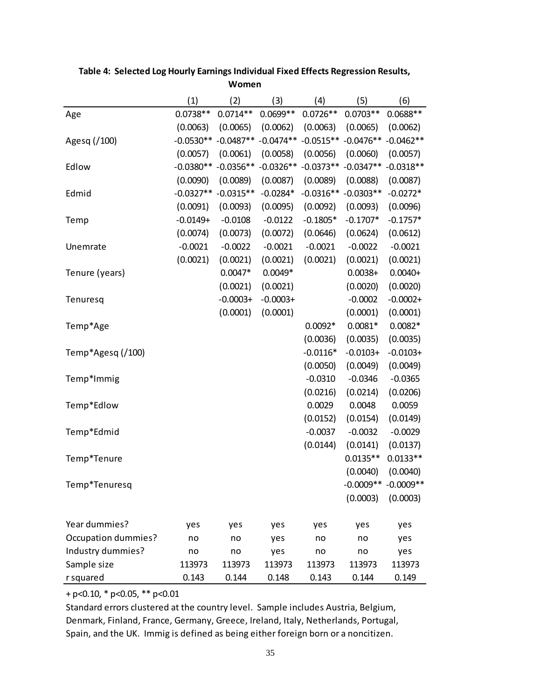|                     | (1)         | (2)         | (3)         | (4)                   | (5)                   | (6)         |
|---------------------|-------------|-------------|-------------|-----------------------|-----------------------|-------------|
| Age                 | $0.0738**$  | $0.0714**$  | $0.0699**$  | $0.0726**$            | $0.0703**$            | $0.0688**$  |
|                     | (0.0063)    | (0.0065)    | (0.0062)    | (0.0063)              | (0.0065)              | (0.0062)    |
| Agesq (/100)        | $-0.0530**$ | $-0.0487**$ |             | $-0.0474** -0.0515**$ | $-0.0476**$           | $-0.0462**$ |
|                     | (0.0057)    | (0.0061)    | (0.0058)    | (0.0056)              | (0.0060)              | (0.0057)    |
| Edlow               | $-0.0380**$ | $-0.0356**$ | $-0.0326**$ | $-0.0373**$           | $-0.0347**$           | $-0.0318**$ |
|                     | (0.0090)    | (0.0089)    | (0.0087)    | (0.0089)              | (0.0088)              | (0.0087)    |
| Edmid               | $-0.0327**$ | $-0.0315**$ | $-0.0284*$  | $-0.0316**$           | $-0.0303**$           | $-0.0272*$  |
|                     | (0.0091)    | (0.0093)    | (0.0095)    | (0.0092)              | (0.0093)              | (0.0096)    |
| Temp                | $-0.0149+$  | $-0.0108$   | $-0.0122$   | $-0.1805*$            | $-0.1707*$            | $-0.1757*$  |
|                     | (0.0074)    | (0.0073)    | (0.0072)    | (0.0646)              | (0.0624)              | (0.0612)    |
| Unemrate            | $-0.0021$   | $-0.0022$   | $-0.0021$   | $-0.0021$             | $-0.0022$             | $-0.0021$   |
|                     | (0.0021)    | (0.0021)    | (0.0021)    | (0.0021)              | (0.0021)              | (0.0021)    |
| Tenure (years)      |             | $0.0047*$   | $0.0049*$   |                       | $0.0038 +$            | $0.0040 +$  |
|                     |             | (0.0021)    | (0.0021)    |                       | (0.0020)              | (0.0020)    |
| Tenuresq            |             | $-0.0003+$  | $-0.0003+$  |                       | $-0.0002$             | $-0.0002+$  |
|                     |             | (0.0001)    | (0.0001)    |                       | (0.0001)              | (0.0001)    |
| Temp*Age            |             |             |             | $0.0092*$             | $0.0081*$             | $0.0082*$   |
|                     |             |             |             | (0.0036)              | (0.0035)              | (0.0035)    |
| Temp*Agesq (/100)   |             |             |             | $-0.0116*$            | $-0.0103+$            | $-0.0103+$  |
|                     |             |             |             | (0.0050)              | (0.0049)              | (0.0049)    |
| Temp*Immig          |             |             |             | $-0.0310$             | $-0.0346$             | $-0.0365$   |
|                     |             |             |             | (0.0216)              | (0.0214)              | (0.0206)    |
| Temp*Edlow          |             |             |             | 0.0029                | 0.0048                | 0.0059      |
|                     |             |             |             | (0.0152)              | (0.0154)              | (0.0149)    |
| Temp*Edmid          |             |             |             | $-0.0037$             | $-0.0032$             | $-0.0029$   |
|                     |             |             |             | (0.0144)              | (0.0141)              | (0.0137)    |
| Temp*Tenure         |             |             |             |                       | $0.0135**$            | $0.0133**$  |
|                     |             |             |             |                       | (0.0040)              | (0.0040)    |
| Temp*Tenuresq       |             |             |             |                       | $-0.0009** -0.0009**$ |             |
|                     |             |             |             |                       | (0.0003)              | (0.0003)    |
| Year dummies?       | yes         | yes         | yes         | yes                   | yes                   | yes         |
| Occupation dummies? | no          | no          | yes         | no                    | no                    | yes         |
| Industry dummies?   | no          | no          | yes         | no                    | no                    | yes         |
| Sample size         | 113973      | 113973      | 113973      | 113973                | 113973                | 113973      |
| r squared           | 0.143       | 0.144       | 0.148       | 0.143                 | 0.144                 | 0.149       |

**Table 4: Selected Log Hourly Earnings Individual Fixed Effects Regression Results, Women**

Standard errors clustered at the country level. Sample includes Austria, Belgium, Denmark, Finland, France, Germany, Greece, Ireland, Italy, Netherlands, Portugal, Spain, and the UK. Immig is defined as being either foreign born or a noncitizen.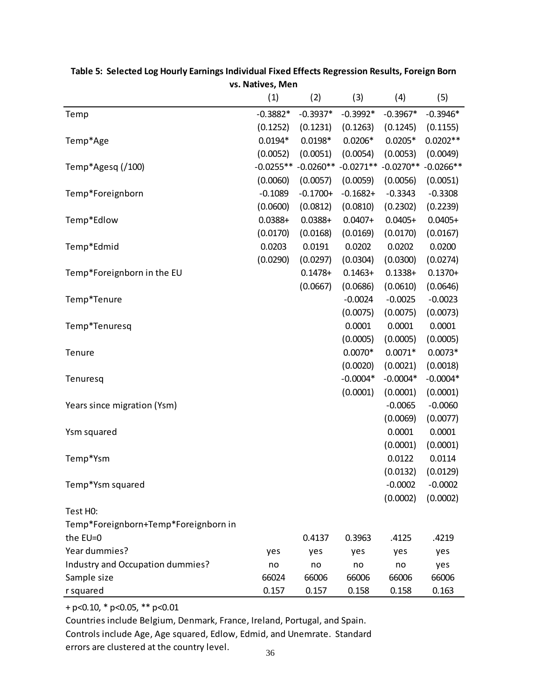|                                      | (1)         | (2)         | (3)         | (4)         | (5)         |
|--------------------------------------|-------------|-------------|-------------|-------------|-------------|
| Temp                                 | $-0.3882*$  | $-0.3937*$  | $-0.3992*$  | $-0.3967*$  | $-0.3946*$  |
|                                      | (0.1252)    | (0.1231)    | (0.1263)    | (0.1245)    | (0.1155)    |
| Temp*Age                             | $0.0194*$   | $0.0198*$   | $0.0206*$   | $0.0205*$   | $0.0202**$  |
|                                      | (0.0052)    | (0.0051)    | (0.0054)    | (0.0053)    | (0.0049)    |
| Temp*Agesq (/100)                    | $-0.0255**$ | $-0.0260**$ | $-0.0271**$ | $-0.0270**$ | $-0.0266**$ |
|                                      | (0.0060)    | (0.0057)    | (0.0059)    | (0.0056)    | (0.0051)    |
| Temp*Foreignborn                     | $-0.1089$   | $-0.1700+$  | $-0.1682+$  | $-0.3343$   | $-0.3308$   |
|                                      | (0.0600)    | (0.0812)    | (0.0810)    | (0.2302)    | (0.2239)    |
| Temp*Edlow                           | $0.0388 +$  | $0.0388 +$  | $0.0407 +$  | $0.0405+$   | $0.0405+$   |
|                                      | (0.0170)    | (0.0168)    | (0.0169)    | (0.0170)    | (0.0167)    |
| Temp*Edmid                           | 0.0203      | 0.0191      | 0.0202      | 0.0202      | 0.0200      |
|                                      | (0.0290)    | (0.0297)    | (0.0304)    | (0.0300)    | (0.0274)    |
| Temp*Foreignborn in the EU           |             | $0.1478 +$  | $0.1463+$   | $0.1338 +$  | $0.1370+$   |
|                                      |             | (0.0667)    | (0.0686)    | (0.0610)    | (0.0646)    |
| Temp*Tenure                          |             |             | $-0.0024$   | $-0.0025$   | $-0.0023$   |
|                                      |             |             | (0.0075)    | (0.0075)    | (0.0073)    |
| Temp*Tenuresq                        |             |             | 0.0001      | 0.0001      | 0.0001      |
|                                      |             |             | (0.0005)    | (0.0005)    | (0.0005)    |
| Tenure                               |             |             | $0.0070*$   | $0.0071*$   | $0.0073*$   |
|                                      |             |             | (0.0020)    | (0.0021)    | (0.0018)    |
| Tenuresq                             |             |             | $-0.0004*$  | $-0.0004*$  | $-0.0004*$  |
|                                      |             |             | (0.0001)    | (0.0001)    | (0.0001)    |
| Years since migration (Ysm)          |             |             |             | $-0.0065$   | $-0.0060$   |
|                                      |             |             |             | (0.0069)    | (0.0077)    |
| Ysm squared                          |             |             |             | 0.0001      | 0.0001      |
|                                      |             |             |             | (0.0001)    | (0.0001)    |
| Temp*Ysm                             |             |             |             | 0.0122      | 0.0114      |
|                                      |             |             |             | (0.0132)    | (0.0129)    |
| Temp*Ysm squared                     |             |             |             | -0.0002     | $-0.0002$   |
|                                      |             |             |             | (0.0002)    | (0.0002)    |
| Test HO:                             |             |             |             |             |             |
| Temp*Foreignborn+Temp*Foreignborn in |             |             |             |             |             |
| the EU=0                             |             | 0.4137      | 0.3963      | .4125       | .4219       |
| Year dummies?                        | yes         | yes         | yes         | yes         | yes         |
| Industry and Occupation dummies?     | no          | no          | no          | no          | yes         |
| Sample size                          | 66024       | 66006       | 66006       | 66006       | 66006       |
| r squared                            | 0.157       | 0.157       | 0.158       | 0.158       | 0.163       |

**Table 5: Selected Log Hourly Earnings Individual Fixed Effects Regression Results, Foreign Born vs. Natives, Men**

Countries include Belgium, Denmark, France, Ireland, Portugal, and Spain. Controls include Age, Age squared, Edlow, Edmid, and Unemrate. Standard errors are clustered at the country level.  $36$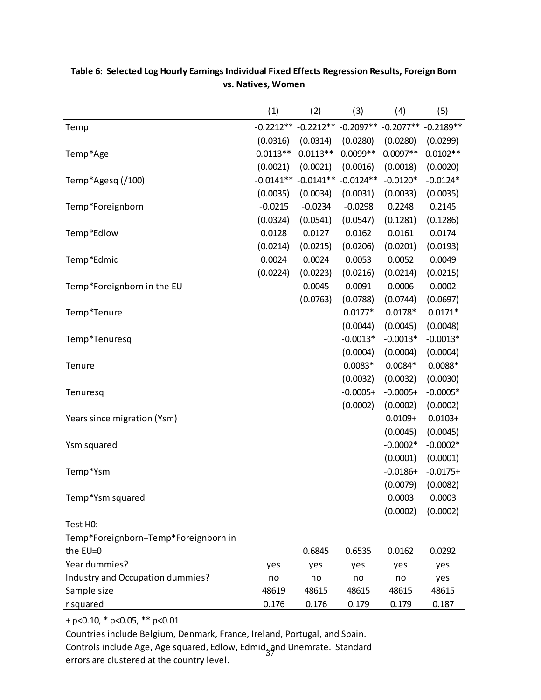|                                      | (1)        | (2)                                                         | (3)        | (4)        | (5)        |
|--------------------------------------|------------|-------------------------------------------------------------|------------|------------|------------|
| Temp                                 |            | $-0.2212**$ $-0.2212**$ $-0.2097**$ $-0.2077**$ $-0.2189**$ |            |            |            |
|                                      | (0.0316)   | (0.0314)                                                    | (0.0280)   | (0.0280)   | (0.0299)   |
| Temp*Age                             | $0.0113**$ | $0.0113**$                                                  | $0.0099**$ | $0.0097**$ | $0.0102**$ |
|                                      | (0.0021)   | (0.0021)                                                    | (0.0016)   | (0.0018)   | (0.0020)   |
| Temp*Agesq (/100)                    |            | $-0.0141** -0.0141** -0.0124**$                             |            | $-0.0120*$ | $-0.0124*$ |
|                                      | (0.0035)   | (0.0034)                                                    | (0.0031)   | (0.0033)   | (0.0035)   |
| Temp*Foreignborn                     | $-0.0215$  | $-0.0234$                                                   | $-0.0298$  | 0.2248     | 0.2145     |
|                                      | (0.0324)   | (0.0541)                                                    | (0.0547)   | (0.1281)   | (0.1286)   |
| Temp*Edlow                           | 0.0128     | 0.0127                                                      | 0.0162     | 0.0161     | 0.0174     |
|                                      | (0.0214)   | (0.0215)                                                    | (0.0206)   | (0.0201)   | (0.0193)   |
| Temp*Edmid                           | 0.0024     | 0.0024                                                      | 0.0053     | 0.0052     | 0.0049     |
|                                      | (0.0224)   | (0.0223)                                                    | (0.0216)   | (0.0214)   | (0.0215)   |
| Temp*Foreignborn in the EU           |            | 0.0045                                                      | 0.0091     | 0.0006     | 0.0002     |
|                                      |            | (0.0763)                                                    | (0.0788)   | (0.0744)   | (0.0697)   |
| Temp*Tenure                          |            |                                                             | $0.0177*$  | $0.0178*$  | $0.0171*$  |
|                                      |            |                                                             | (0.0044)   | (0.0045)   | (0.0048)   |
| Temp*Tenuresq                        |            |                                                             | $-0.0013*$ | $-0.0013*$ | $-0.0013*$ |
|                                      |            |                                                             | (0.0004)   | (0.0004)   | (0.0004)   |
| Tenure                               |            |                                                             | $0.0083*$  | $0.0084*$  | $0.0088*$  |
|                                      |            |                                                             | (0.0032)   | (0.0032)   | (0.0030)   |
| Tenuresq                             |            |                                                             | $-0.0005+$ | $-0.0005+$ | $-0.0005*$ |
|                                      |            |                                                             | (0.0002)   | (0.0002)   | (0.0002)   |
| Years since migration (Ysm)          |            |                                                             |            | $0.0109 +$ | $0.0103+$  |
|                                      |            |                                                             |            | (0.0045)   | (0.0045)   |
| Ysm squared                          |            |                                                             |            | $-0.0002*$ | $-0.0002*$ |
|                                      |            |                                                             |            | (0.0001)   | (0.0001)   |
| Temp*Ysm                             |            |                                                             |            | $-0.0186+$ | $-0.0175+$ |
|                                      |            |                                                             |            | (0.0079)   | (0.0082)   |
| Temp*Ysm squared                     |            |                                                             |            | 0.0003     | 0.0003     |
|                                      |            |                                                             |            | (0.0002)   | (0.0002)   |
| Test HO:                             |            |                                                             |            |            |            |
| Temp*Foreignborn+Temp*Foreignborn in |            |                                                             |            |            |            |
| the EU=0                             |            | 0.6845                                                      | 0.6535     | 0.0162     | 0.0292     |
| Year dummies?                        | yes        | yes                                                         | yes        | yes        | yes        |
| Industry and Occupation dummies?     | no         | no                                                          | no         | no         | yes        |
| Sample size                          | 48619      | 48615                                                       | 48615      | 48615      | 48615      |
| r squared                            | 0.176      | 0.176                                                       | 0.179      | 0.179      | 0.187      |

## **Table 6: Selected Log Hourly Earnings Individual Fixed Effects Regression Results, Foreign Born vs. Natives, Women**

+ p<0.10, \* p<0.05, \*\* p<0.01

Countries include Belgium, Denmark, France, Ireland, Portugal, and Spain. Controls include Age, Age squared, Edlow, Edmid<sub>3</sub>and Unemrate. Standard

errors are clustered at the country level.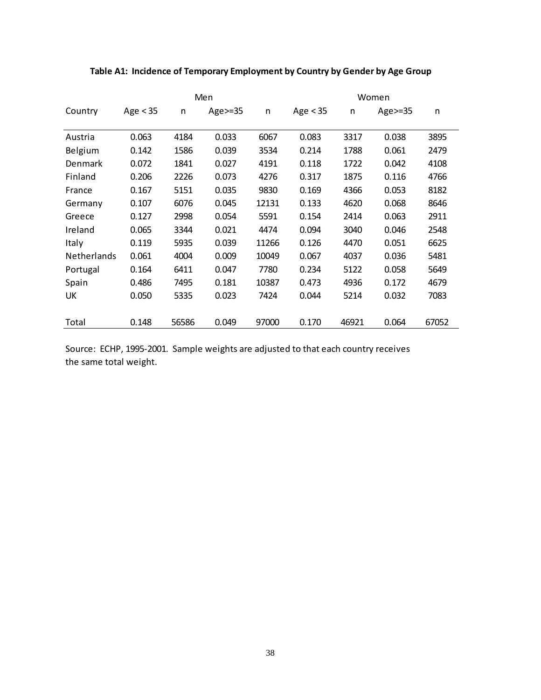|                    |            | Men   | Women       |       |            |       |             |       |
|--------------------|------------|-------|-------------|-------|------------|-------|-------------|-------|
| Country            | Age $<$ 35 | n     | Age $>=$ 35 | n     | Age $<$ 35 | n     | Age $>=$ 35 | n     |
|                    |            |       |             |       |            |       |             |       |
| Austria            | 0.063      | 4184  | 0.033       | 6067  | 0.083      | 3317  | 0.038       | 3895  |
| Belgium            | 0.142      | 1586  | 0.039       | 3534  | 0.214      | 1788  | 0.061       | 2479  |
| Denmark            | 0.072      | 1841  | 0.027       | 4191  | 0.118      | 1722  | 0.042       | 4108  |
| Finland            | 0.206      | 2226  | 0.073       | 4276  | 0.317      | 1875  | 0.116       | 4766  |
| France             | 0.167      | 5151  | 0.035       | 9830  | 0.169      | 4366  | 0.053       | 8182  |
| Germany            | 0.107      | 6076  | 0.045       | 12131 | 0.133      | 4620  | 0.068       | 8646  |
| Greece             | 0.127      | 2998  | 0.054       | 5591  | 0.154      | 2414  | 0.063       | 2911  |
| Ireland            | 0.065      | 3344  | 0.021       | 4474  | 0.094      | 3040  | 0.046       | 2548  |
| Italy              | 0.119      | 5935  | 0.039       | 11266 | 0.126      | 4470  | 0.051       | 6625  |
| <b>Netherlands</b> | 0.061      | 4004  | 0.009       | 10049 | 0.067      | 4037  | 0.036       | 5481  |
| Portugal           | 0.164      | 6411  | 0.047       | 7780  | 0.234      | 5122  | 0.058       | 5649  |
| Spain              | 0.486      | 7495  | 0.181       | 10387 | 0.473      | 4936  | 0.172       | 4679  |
| UK                 | 0.050      | 5335  | 0.023       | 7424  | 0.044      | 5214  | 0.032       | 7083  |
|                    |            |       |             |       |            |       |             |       |
| Total              | 0.148      | 56586 | 0.049       | 97000 | 0.170      | 46921 | 0.064       | 67052 |

**Table A1: Incidence of Temporary Employment by Country by Gender by Age Group**

Source: ECHP, 1995-2001. Sample weights are adjusted to that each country receives the same total weight.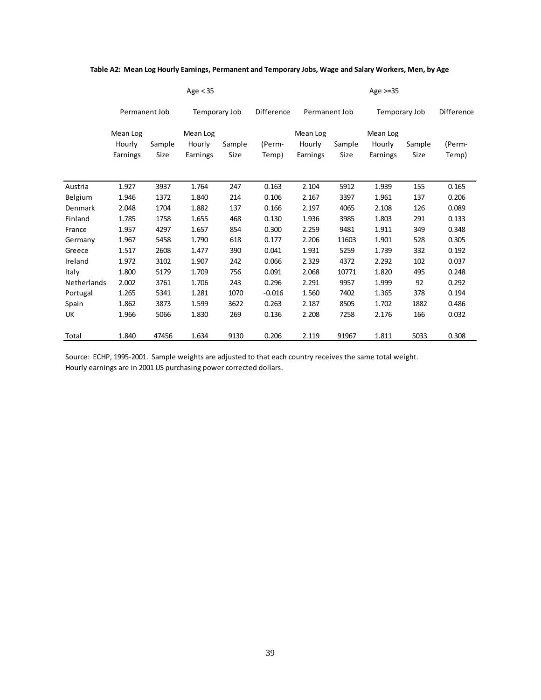|             | Age $<$ 35                     |        |          |            |               |          | Age $>=35$    |            |        |        |
|-------------|--------------------------------|--------|----------|------------|---------------|----------|---------------|------------|--------|--------|
|             | Permanent Job<br>Temporary Job |        |          | Difference | Permanent Job |          | Temporary Job | Difference |        |        |
|             | Mean Log                       |        | Mean Log |            |               | Mean Log |               | Mean Log   |        |        |
|             | Hourly                         | Sample | Hourly   | Sample     | (Perm-        | Hourly   | Sample        | Hourly     | Sample | (Perm- |
|             | Earnings                       | Size   | Earnings | Size       | Temp)         | Earnings | Size          | Earnings   | Size   | Temp)  |
|             |                                |        |          |            |               |          |               |            |        |        |
|             |                                |        |          |            |               |          |               |            |        |        |
| Austria     | 1.927                          | 3937   | 1.764    | 247        | 0.163         | 2.104    | 5912          | 1.939      | 155    | 0.165  |
| Belgium     | 1.946                          | 1372   | 1.840    | 214        | 0.106         | 2.167    | 3397          | 1.961      | 137    | 0.206  |
| Denmark     | 2.048                          | 1704   | 1.882    | 137        | 0.166         | 2.197    | 4065          | 2.108      | 126    | 0.089  |
| Finland     | 1.785                          | 1758   | 1.655    | 468        | 0.130         | 1.936    | 3985          | 1.803      | 291    | 0.133  |
| France      | 1.957                          | 4297   | 1.657    | 854        | 0.300         | 2.259    | 9481          | 1.911      | 349    | 0.348  |
| Germany     | 1.967                          | 5458   | 1.790    | 618        | 0.177         | 2.206    | 11603         | 1.901      | 528    | 0.305  |
| Greece      | 1.517                          | 2608   | 1.477    | 390        | 0.041         | 1.931    | 5259          | 1.739      | 332    | 0.192  |
| Ireland     | 1.972                          | 3102   | 1.907    | 242        | 0.066         | 2.329    | 4372          | 2.292      | 102    | 0.037  |
| Italy       | 1.800                          | 5179   | 1.709    | 756        | 0.091         | 2.068    | 10771         | 1.820      | 495    | 0.248  |
| Netherlands | 2.002                          | 3761   | 1.706    | 243        | 0.296         | 2.291    | 9957          | 1.999      | 92     | 0.292  |
| Portugal    | 1.265                          | 5341   | 1.281    | 1070       | $-0.016$      | 1.560    | 7402          | 1.365      | 378    | 0.194  |
| Spain       | 1.862                          | 3873   | 1.599    | 3622       | 0.263         | 2.187    | 8505          | 1.702      | 1882   | 0.486  |
| UK          | 1.966                          | 5066   | 1.830    | 269        | 0.136         | 2.208    | 7258          | 2.176      | 166    | 0.032  |
|             |                                |        |          |            |               |          |               |            |        |        |
| Total       | 1.840                          | 47456  | 1.634    | 9130       | 0.206         | 2.119    | 91967         | 1.811      | 5033   | 0.308  |

#### **Table A2: Mean Log Hourly Earnings, Permanent and Temporary Jobs, Wage and Salary Workers, Men, by Age**

Source: ECHP, 1995-2001. Sample weights are adjusted to that each country receives the same total weight. Hourly earnings are in 2001 US purchasing power corrected dollars.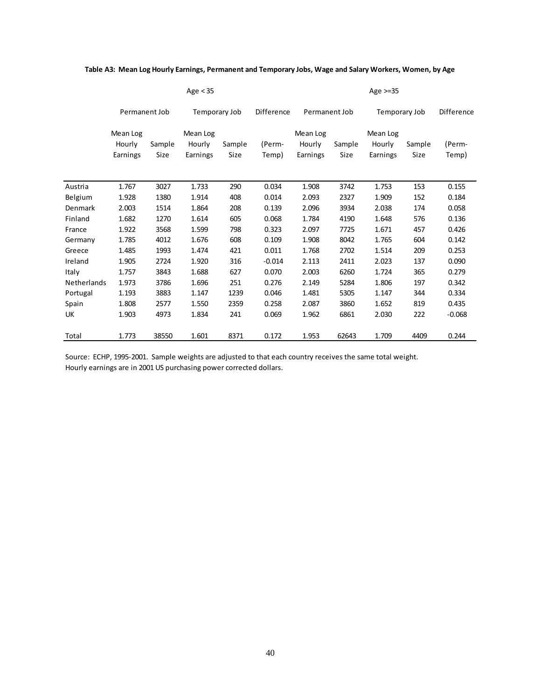|                    |               |        | Age $<$ 35 |                             |          |               |        | Age $>=35$    |        |            |
|--------------------|---------------|--------|------------|-----------------------------|----------|---------------|--------|---------------|--------|------------|
|                    | Permanent Job |        |            | Difference<br>Temporary Job |          | Permanent Job |        | Temporary Job |        | Difference |
|                    | Mean Log      |        | Mean Log   |                             |          | Mean Log      |        | Mean Log      |        |            |
|                    | Hourly        | Sample | Hourly     | Sample                      | (Perm-   | Hourly        | Sample | Hourly        | Sample | (Perm-     |
|                    | Earnings      | Size   | Earnings   | Size                        | Temp)    | Earnings      | Size   | Earnings      | Size   | Temp)      |
|                    |               |        |            |                             |          |               |        |               |        |            |
| Austria            | 1.767         | 3027   | 1.733      | 290                         | 0.034    | 1.908         | 3742   | 1.753         | 153    | 0.155      |
| Belgium            | 1.928         | 1380   | 1.914      | 408                         | 0.014    | 2.093         | 2327   | 1.909         | 152    | 0.184      |
| Denmark            | 2.003         | 1514   | 1.864      | 208                         | 0.139    | 2.096         | 3934   | 2.038         | 174    | 0.058      |
| Finland            | 1.682         | 1270   | 1.614      | 605                         | 0.068    | 1.784         | 4190   | 1.648         | 576    | 0.136      |
| France             | 1.922         | 3568   | 1.599      | 798                         | 0.323    | 2.097         | 7725   | 1.671         | 457    | 0.426      |
| Germany            | 1.785         | 4012   | 1.676      | 608                         | 0.109    | 1.908         | 8042   | 1.765         | 604    | 0.142      |
| Greece             | 1.485         | 1993   | 1.474      | 421                         | 0.011    | 1.768         | 2702   | 1.514         | 209    | 0.253      |
| Ireland            | 1.905         | 2724   | 1.920      | 316                         | $-0.014$ | 2.113         | 2411   | 2.023         | 137    | 0.090      |
| Italy              | 1.757         | 3843   | 1.688      | 627                         | 0.070    | 2.003         | 6260   | 1.724         | 365    | 0.279      |
| <b>Netherlands</b> | 1.973         | 3786   | 1.696      | 251                         | 0.276    | 2.149         | 5284   | 1.806         | 197    | 0.342      |
| Portugal           | 1.193         | 3883   | 1.147      | 1239                        | 0.046    | 1.481         | 5305   | 1.147         | 344    | 0.334      |
| Spain              | 1.808         | 2577   | 1.550      | 2359                        | 0.258    | 2.087         | 3860   | 1.652         | 819    | 0.435      |
| UK                 | 1.903         | 4973   | 1.834      | 241                         | 0.069    | 1.962         | 6861   | 2.030         | 222    | $-0.068$   |
|                    |               |        |            |                             |          |               |        |               |        |            |
| Total              | 1.773         | 38550  | 1.601      | 8371                        | 0.172    | 1.953         | 62643  | 1.709         | 4409   | 0.244      |

#### **Table A3: Mean Log Hourly Earnings, Permanent and Temporary Jobs, Wage and Salary Workers, Women, by Age**

Source: ECHP, 1995-2001. Sample weights are adjusted to that each country receives the same total weight. Hourly earnings are in 2001 US purchasing power corrected dollars.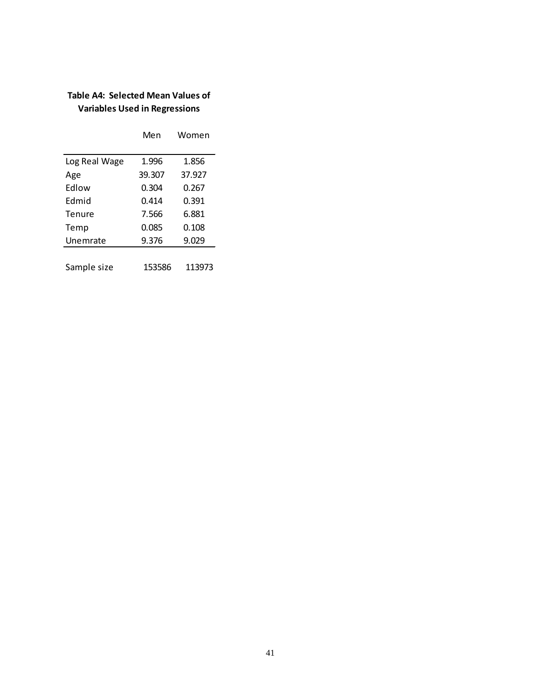# **Table A4: Selected Mean Values of Variables Used in Regressions**

|               | Men    | Women  |
|---------------|--------|--------|
| Log Real Wage | 1.996  | 1.856  |
| Age           | 39.307 | 37.927 |
| Edlow         | 0.304  | 0.267  |
| Fdmid         | 0.414  | 0.391  |
| Tenure        | 7.566  | 6.881  |
| Temp          | 0.085  | 0.108  |
| Unemrate      | 9.376  | 9.029  |
|               |        |        |
| Sample size   | 153586 | 113973 |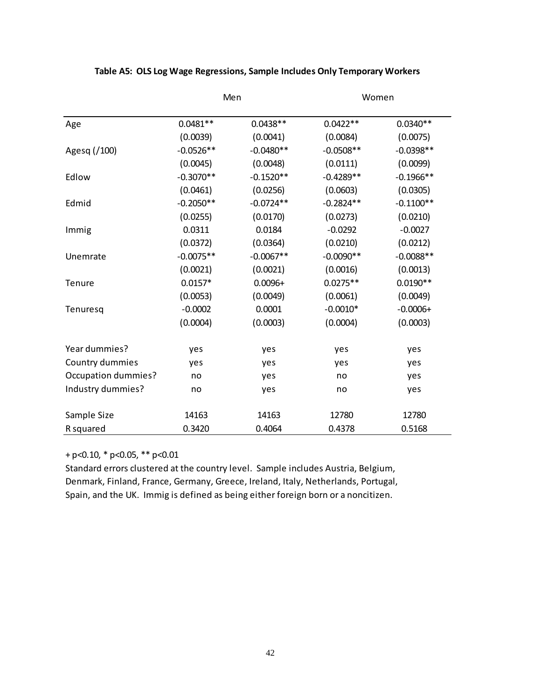|                     | Men         |             | Women       |             |  |
|---------------------|-------------|-------------|-------------|-------------|--|
| Age                 | $0.0481**$  | $0.0438**$  | $0.0422**$  | $0.0340**$  |  |
|                     | (0.0039)    | (0.0041)    | (0.0084)    | (0.0075)    |  |
| Agesq (/100)        | $-0.0526**$ | $-0.0480**$ | $-0.0508**$ | $-0.0398**$ |  |
|                     | (0.0045)    | (0.0048)    | (0.0111)    | (0.0099)    |  |
| Edlow               | $-0.3070**$ | $-0.1520**$ | $-0.4289**$ | $-0.1966**$ |  |
|                     | (0.0461)    | (0.0256)    | (0.0603)    | (0.0305)    |  |
| Edmid               | $-0.2050**$ | $-0.0724**$ | $-0.2824**$ | $-0.1100**$ |  |
|                     | (0.0255)    | (0.0170)    | (0.0273)    | (0.0210)    |  |
| Immig               | 0.0311      | 0.0184      | $-0.0292$   | $-0.0027$   |  |
|                     | (0.0372)    | (0.0364)    | (0.0210)    | (0.0212)    |  |
| Unemrate            | $-0.0075**$ | $-0.0067**$ | $-0.0090**$ | $-0.0088**$ |  |
|                     | (0.0021)    | (0.0021)    | (0.0016)    | (0.0013)    |  |
| Tenure              | $0.0157*$   | $0.0096 +$  | $0.0275**$  | $0.0190**$  |  |
|                     | (0.0053)    | (0.0049)    | (0.0061)    | (0.0049)    |  |
| Tenuresq            | $-0.0002$   | 0.0001      | $-0.0010*$  | $-0.0006+$  |  |
|                     | (0.0004)    | (0.0003)    | (0.0004)    | (0.0003)    |  |
| Year dummies?       | yes         | yes         | yes         | yes         |  |
| Country dummies     | yes         | yes         | yes         | yes         |  |
| Occupation dummies? | no          | yes         | no          | yes         |  |
| Industry dummies?   | no          | yes         | no          | yes         |  |
| Sample Size         | 14163       | 14163       | 12780       | 12780       |  |
| R squared           | 0.3420      | 0.4064      | 0.4378      | 0.5168      |  |

## **Table A5: OLS Log Wage Regressions, Sample Includes Only Temporary Workers**

+ p<0.10, \* p<0.05, \*\* p<0.01

Standard errors clustered at the country level. Sample includes Austria, Belgium, Denmark, Finland, France, Germany, Greece, Ireland, Italy, Netherlands, Portugal, Spain, and the UK. Immig is defined as being either foreign born or a noncitizen.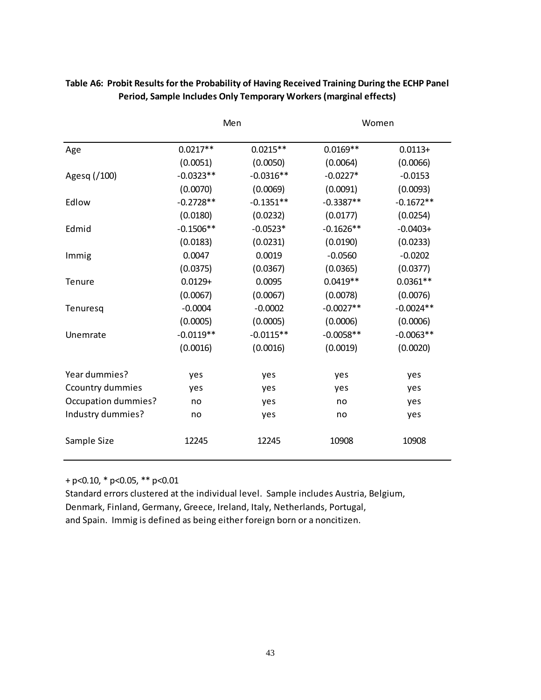|                     | Men         |             | Women       |             |
|---------------------|-------------|-------------|-------------|-------------|
| Age                 | $0.0217**$  | $0.0215**$  | $0.0169**$  | $0.0113 +$  |
|                     | (0.0051)    | (0.0050)    | (0.0064)    | (0.0066)    |
| Agesq (/100)        | $-0.0323**$ | $-0.0316**$ | $-0.0227*$  | $-0.0153$   |
|                     | (0.0070)    | (0.0069)    | (0.0091)    | (0.0093)    |
| Edlow               | $-0.2728**$ | $-0.1351**$ | $-0.3387**$ | $-0.1672**$ |
|                     | (0.0180)    | (0.0232)    | (0.0177)    | (0.0254)    |
| Edmid               | $-0.1506**$ | $-0.0523*$  | $-0.1626**$ | $-0.0403+$  |
|                     | (0.0183)    | (0.0231)    | (0.0190)    | (0.0233)    |
| Immig               | 0.0047      | 0.0019      | $-0.0560$   | $-0.0202$   |
|                     | (0.0375)    | (0.0367)    | (0.0365)    | (0.0377)    |
| Tenure              | $0.0129 +$  | 0.0095      | $0.0419**$  | $0.0361**$  |
|                     | (0.0067)    | (0.0067)    | (0.0078)    | (0.0076)    |
| Tenuresq            | $-0.0004$   | $-0.0002$   | $-0.0027**$ | $-0.0024**$ |
|                     | (0.0005)    | (0.0005)    | (0.0006)    | (0.0006)    |
| Unemrate            | $-0.0119**$ | $-0.0115**$ | $-0.0058**$ | $-0.0063**$ |
|                     | (0.0016)    | (0.0016)    | (0.0019)    | (0.0020)    |
| Year dummies?       | yes         | yes         | yes         | yes         |
| Ccountry dummies    | yes         | yes         | yes         | yes         |
| Occupation dummies? | no          | yes         | no          | yes         |
| Industry dummies?   | no          | yes         | no          | yes         |
| Sample Size         | 12245       | 12245       | 10908       | 10908       |

## **Table A6: Probit Results for the Probability of Having Received Training During the ECHP Panel Period, Sample Includes Only Temporary Workers (marginal effects)**

+ p<0.10, \* p<0.05, \*\* p<0.01

Standard errors clustered at the individual level. Sample includes Austria, Belgium, Denmark, Finland, Germany, Greece, Ireland, Italy, Netherlands, Portugal, and Spain. Immig is defined as being either foreign born or a noncitizen.